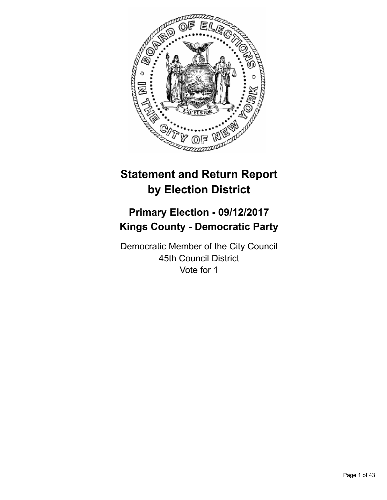

# **Statement and Return Report by Election District**

# **Primary Election - 09/12/2017 Kings County - Democratic Party**

Democratic Member of the City Council 45th Council District Vote for 1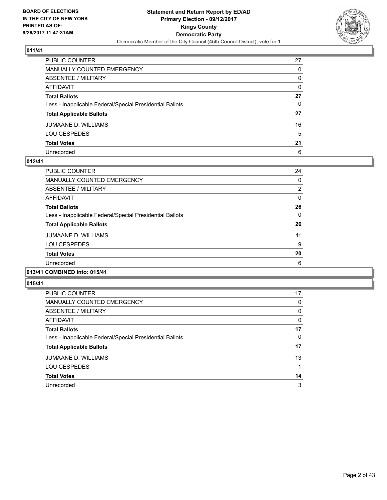

| PUBLIC COUNTER                                           | 27           |
|----------------------------------------------------------|--------------|
| MANUALLY COUNTED EMERGENCY                               | 0            |
| ABSENTEE / MILITARY                                      | 0            |
| AFFIDAVIT                                                | $\mathbf{0}$ |
| Total Ballots                                            | 27           |
| Less - Inapplicable Federal/Special Presidential Ballots | $\mathbf{0}$ |
| <b>Total Applicable Ballots</b>                          | 27           |
| JUMAANE D. WILLIAMS                                      | 16           |
| LOU CESPEDES                                             | 5            |
| <b>Total Votes</b>                                       | 21           |
| Unrecorded                                               | 6            |

## **012/41**

| <b>PUBLIC COUNTER</b>                                    | 24             |
|----------------------------------------------------------|----------------|
| <b>MANUALLY COUNTED EMERGENCY</b>                        | 0              |
| ABSENTEE / MILITARY                                      | $\overline{2}$ |
| <b>AFFIDAVIT</b>                                         | $\Omega$       |
| <b>Total Ballots</b>                                     | 26             |
| Less - Inapplicable Federal/Special Presidential Ballots | 0              |
| <b>Total Applicable Ballots</b>                          | 26             |
| <b>JUMAANE D. WILLIAMS</b>                               | 11             |
| <b>LOU CESPEDES</b>                                      | 9              |
| <b>Total Votes</b>                                       | 20             |
| Unrecorded                                               | 6              |
|                                                          |                |

# **013/41 COMBINED into: 015/41**

| <b>PUBLIC COUNTER</b>                                    | 17 |
|----------------------------------------------------------|----|
| MANUALLY COUNTED EMERGENCY                               | 0  |
| ABSENTEE / MILITARY                                      | 0  |
| AFFIDAVIT                                                | 0  |
| <b>Total Ballots</b>                                     | 17 |
| Less - Inapplicable Federal/Special Presidential Ballots | 0  |
| <b>Total Applicable Ballots</b>                          | 17 |
| <b>JUMAANE D. WILLIAMS</b>                               | 13 |
| <b>LOU CESPEDES</b>                                      |    |
| <b>Total Votes</b>                                       | 14 |
| Unrecorded                                               | 3  |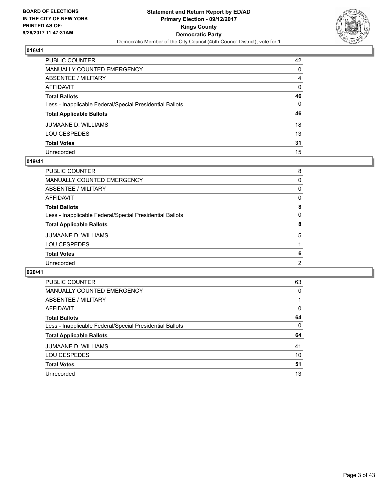

| PUBLIC COUNTER                                           | 42           |
|----------------------------------------------------------|--------------|
| MANUALLY COUNTED EMERGENCY                               | 0            |
| ABSENTEE / MILITARY                                      | 4            |
| AFFIDAVIT                                                | 0            |
| Total Ballots                                            | 46           |
| Less - Inapplicable Federal/Special Presidential Ballots | $\mathbf{0}$ |
| <b>Total Applicable Ballots</b>                          | 46           |
| JUMAANE D. WILLIAMS                                      | 18           |
| LOU CESPEDES                                             | 13           |
| <b>Total Votes</b>                                       | 31           |
| Unrecorded                                               | 15           |

#### **019/41**

| <b>PUBLIC COUNTER</b>                                    | 8 |
|----------------------------------------------------------|---|
| MANUALLY COUNTED EMERGENCY                               | 0 |
| ABSENTEE / MILITARY                                      | 0 |
| AFFIDAVIT                                                | 0 |
| <b>Total Ballots</b>                                     | 8 |
| Less - Inapplicable Federal/Special Presidential Ballots | 0 |
| <b>Total Applicable Ballots</b>                          | 8 |
| <b>JUMAANE D. WILLIAMS</b>                               | 5 |
| LOU CESPEDES                                             |   |
| <b>Total Votes</b>                                       | 6 |
| Unrecorded                                               | 2 |
|                                                          |   |

| <b>PUBLIC COUNTER</b>                                    | 63 |
|----------------------------------------------------------|----|
| <b>MANUALLY COUNTED EMERGENCY</b>                        | 0  |
| ABSENTEE / MILITARY                                      |    |
| AFFIDAVIT                                                | 0  |
| <b>Total Ballots</b>                                     | 64 |
| Less - Inapplicable Federal/Special Presidential Ballots | 0  |
| <b>Total Applicable Ballots</b>                          | 64 |
| JUMAANE D. WILLIAMS                                      | 41 |
| <b>LOU CESPEDES</b>                                      | 10 |
| <b>Total Votes</b>                                       | 51 |
| Unrecorded                                               | 13 |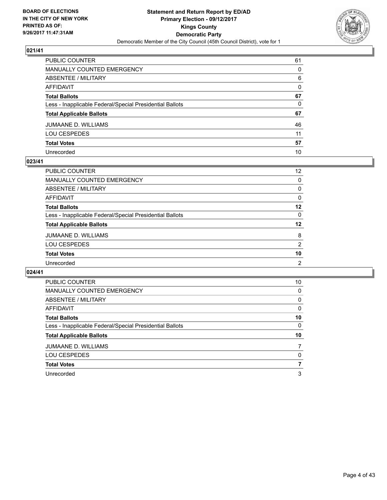

| PUBLIC COUNTER                                           | 61       |
|----------------------------------------------------------|----------|
| MANUALLY COUNTED EMERGENCY                               | 0        |
| ABSENTEE / MILITARY                                      | 6        |
| AFFIDAVIT                                                | $\Omega$ |
| Total Ballots                                            | 67       |
| Less - Inapplicable Federal/Special Presidential Ballots | 0        |
| <b>Total Applicable Ballots</b>                          | 67       |
| JUMAANE D. WILLIAMS                                      | 46       |
| LOU CESPEDES                                             | 11       |
| <b>Total Votes</b>                                       | 57       |
| Unrecorded                                               | 10       |

#### **023/41**

| PUBLIC COUNTER                                           | $12 \overline{ }$ |
|----------------------------------------------------------|-------------------|
| MANUALLY COUNTED EMERGENCY                               | 0                 |
| ABSENTEE / MILITARY                                      | 0                 |
| AFFIDAVIT                                                | 0                 |
| <b>Total Ballots</b>                                     | 12                |
| Less - Inapplicable Federal/Special Presidential Ballots | 0                 |
| <b>Total Applicable Ballots</b>                          | 12                |
| <b>JUMAANE D. WILLIAMS</b>                               | 8                 |
| <b>LOU CESPEDES</b>                                      | 2                 |
| <b>Total Votes</b>                                       | 10                |
| Unrecorded                                               | 2                 |

| <b>PUBLIC COUNTER</b>                                    | 10 |
|----------------------------------------------------------|----|
| MANUALLY COUNTED EMERGENCY                               | 0  |
| ABSENTEE / MILITARY                                      | 0  |
| AFFIDAVIT                                                | 0  |
| <b>Total Ballots</b>                                     | 10 |
| Less - Inapplicable Federal/Special Presidential Ballots | 0  |
| <b>Total Applicable Ballots</b>                          | 10 |
| JUMAANE D. WILLIAMS                                      |    |
| <b>LOU CESPEDES</b>                                      | 0  |
| <b>Total Votes</b>                                       | 7  |
| Unrecorded                                               | 3  |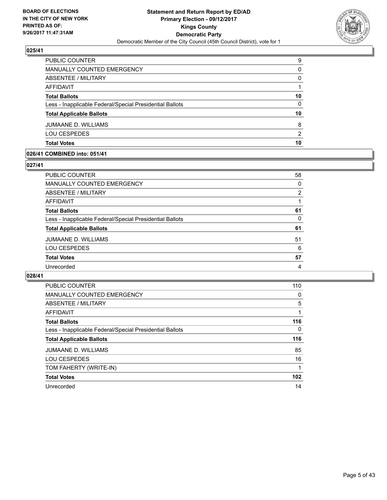

| <b>PUBLIC COUNTER</b>                                    | 9  |
|----------------------------------------------------------|----|
| MANUALLY COUNTED EMERGENCY                               | 0  |
| ABSENTEE / MILITARY                                      | 0  |
| AFFIDAVIT                                                |    |
| <b>Total Ballots</b>                                     | 10 |
| Less - Inapplicable Federal/Special Presidential Ballots | 0  |
| <b>Total Applicable Ballots</b>                          | 10 |
| <b>JUMAANE D. WILLIAMS</b>                               | 8  |
| <b>LOU CESPEDES</b>                                      | 2  |
| <b>Total Votes</b>                                       | 10 |

## **026/41 COMBINED into: 051/41**

## **027/41**

| <b>PUBLIC COUNTER</b>                                    | 58 |
|----------------------------------------------------------|----|
| <b>MANUALLY COUNTED EMERGENCY</b>                        | 0  |
| <b>ABSENTEE / MILITARY</b>                               | 2  |
| <b>AFFIDAVIT</b>                                         |    |
| <b>Total Ballots</b>                                     | 61 |
| Less - Inapplicable Federal/Special Presidential Ballots | 0  |
| <b>Total Applicable Ballots</b>                          | 61 |
| <b>JUMAANE D. WILLIAMS</b>                               | 51 |
| <b>LOU CESPEDES</b>                                      | 6  |
| <b>Total Votes</b>                                       | 57 |
| Unrecorded                                               | 4  |

| <b>PUBLIC COUNTER</b>                                    | 110      |
|----------------------------------------------------------|----------|
| <b>MANUALLY COUNTED EMERGENCY</b>                        | 0        |
| ABSENTEE / MILITARY                                      | 5        |
| <b>AFFIDAVIT</b>                                         |          |
| <b>Total Ballots</b>                                     | 116      |
| Less - Inapplicable Federal/Special Presidential Ballots | $\Omega$ |
| <b>Total Applicable Ballots</b>                          | 116      |
| <b>JUMAANE D. WILLIAMS</b>                               | 85       |
| <b>LOU CESPEDES</b>                                      | 16       |
| TOM FAHERTY (WRITE-IN)                                   |          |
| <b>Total Votes</b>                                       | 102      |
| Unrecorded                                               | 14       |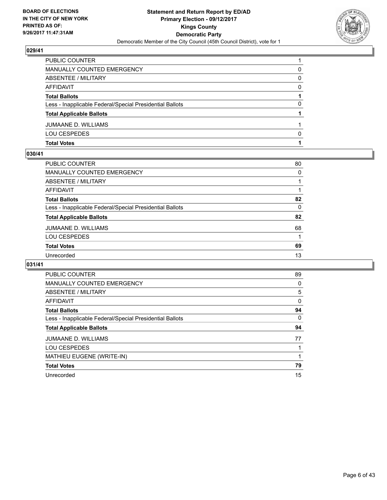

| <b>Total Votes</b>                                       |   |
|----------------------------------------------------------|---|
| <b>LOU CESPEDES</b>                                      | n |
| <b>JUMAANE D. WILLIAMS</b>                               |   |
| <b>Total Applicable Ballots</b>                          |   |
| Less - Inapplicable Federal/Special Presidential Ballots | 0 |
| <b>Total Ballots</b>                                     |   |
| AFFIDAVIT                                                | 0 |
| ABSENTEE / MILITARY                                      | 0 |
| <b>MANUALLY COUNTED EMERGENCY</b>                        | 0 |
| PUBLIC COUNTER                                           |   |

## **030/41**

| PUBLIC COUNTER                                           | 80 |
|----------------------------------------------------------|----|
| <b>MANUALLY COUNTED EMERGENCY</b>                        | 0  |
| <b>ABSENTEE / MILITARY</b>                               |    |
| <b>AFFIDAVIT</b>                                         |    |
| <b>Total Ballots</b>                                     | 82 |
| Less - Inapplicable Federal/Special Presidential Ballots | 0  |
| <b>Total Applicable Ballots</b>                          | 82 |
| <b>JUMAANE D. WILLIAMS</b>                               | 68 |
| <b>LOU CESPEDES</b>                                      | 1  |
| <b>Total Votes</b>                                       | 69 |
| Unrecorded                                               | 13 |
|                                                          |    |

| <b>PUBLIC COUNTER</b>                                    | 89       |
|----------------------------------------------------------|----------|
| <b>MANUALLY COUNTED EMERGENCY</b>                        | 0        |
| ABSENTEE / MILITARY                                      | 5        |
| AFFIDAVIT                                                | $\Omega$ |
| <b>Total Ballots</b>                                     | 94       |
| Less - Inapplicable Federal/Special Presidential Ballots | 0        |
| <b>Total Applicable Ballots</b>                          | 94       |
| JUMAANE D. WILLIAMS                                      | 77       |
| <b>LOU CESPEDES</b>                                      |          |
| <b>MATHIEU EUGENE (WRITE-IN)</b>                         |          |
| <b>Total Votes</b>                                       | 79       |
| Unrecorded                                               | 15       |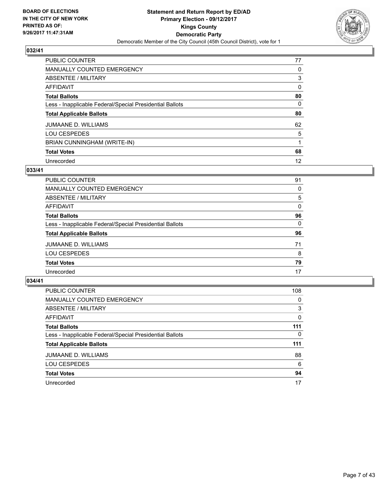

| PUBLIC COUNTER                                           | 77 |
|----------------------------------------------------------|----|
| <b>MANUALLY COUNTED EMERGENCY</b>                        | 0  |
| ABSENTEE / MILITARY                                      | 3  |
| AFFIDAVIT                                                | 0  |
| <b>Total Ballots</b>                                     | 80 |
| Less - Inapplicable Federal/Special Presidential Ballots | 0  |
| <b>Total Applicable Ballots</b>                          | 80 |
| <b>JUMAANE D. WILLIAMS</b>                               | 62 |
| <b>LOU CESPEDES</b>                                      | 5  |
| BRIAN CUNNINGHAM (WRITE-IN)                              |    |
| <b>Total Votes</b>                                       | 68 |
| Unrecorded                                               | 12 |

## **033/41**

| <b>PUBLIC COUNTER</b>                                    | 91 |
|----------------------------------------------------------|----|
| MANUALLY COUNTED EMERGENCY                               | 0  |
| ABSENTEE / MILITARY                                      | 5  |
| AFFIDAVIT                                                | 0  |
| <b>Total Ballots</b>                                     | 96 |
| Less - Inapplicable Federal/Special Presidential Ballots | 0  |
| <b>Total Applicable Ballots</b>                          | 96 |
| <b>JUMAANE D. WILLIAMS</b>                               | 71 |
| <b>LOU CESPEDES</b>                                      | 8  |
| <b>Total Votes</b>                                       | 79 |
| Unrecorded                                               | 17 |

| PUBLIC COUNTER                                           | 108 |
|----------------------------------------------------------|-----|
| MANUALLY COUNTED EMERGENCY                               | 0   |
| ABSENTEE / MILITARY                                      | 3   |
| AFFIDAVIT                                                | 0   |
| <b>Total Ballots</b>                                     | 111 |
| Less - Inapplicable Federal/Special Presidential Ballots | 0   |
| <b>Total Applicable Ballots</b>                          | 111 |
| <b>JUMAANE D. WILLIAMS</b>                               | 88  |
| <b>LOU CESPEDES</b>                                      | 6   |
|                                                          |     |
| <b>Total Votes</b>                                       | 94  |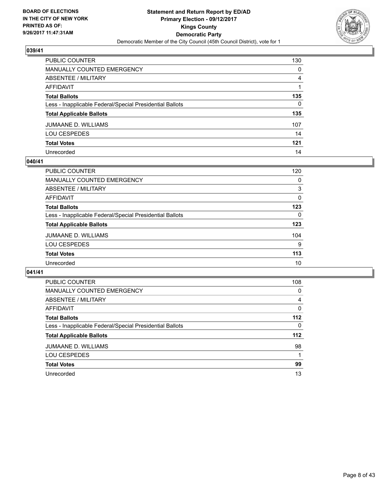

| PUBLIC COUNTER                                           | 130          |
|----------------------------------------------------------|--------------|
| MANUALLY COUNTED EMERGENCY                               | 0            |
| ABSENTEE / MILITARY                                      | 4            |
| AFFIDAVIT                                                |              |
| Total Ballots                                            | 135          |
| Less - Inapplicable Federal/Special Presidential Ballots | $\mathbf{0}$ |
| <b>Total Applicable Ballots</b>                          | 135          |
| JUMAANE D. WILLIAMS                                      | 107          |
| LOU CESPEDES                                             | 14           |
| <b>Total Votes</b>                                       | 121          |
| Unrecorded                                               | 14           |

#### **040/41**

| PUBLIC COUNTER                                           | 120 |
|----------------------------------------------------------|-----|
| <b>MANUALLY COUNTED EMERGENCY</b>                        | 0   |
| ABSENTEE / MILITARY                                      | 3   |
| AFFIDAVIT                                                | 0   |
| <b>Total Ballots</b>                                     | 123 |
| Less - Inapplicable Federal/Special Presidential Ballots | 0   |
| <b>Total Applicable Ballots</b>                          | 123 |
| JUMAANE D. WILLIAMS                                      | 104 |
| <b>LOU CESPEDES</b>                                      | 9   |
| <b>Total Votes</b>                                       | 113 |
| Unrecorded                                               | 10  |

| <b>PUBLIC COUNTER</b>                                    | 108   |
|----------------------------------------------------------|-------|
| MANUALLY COUNTED EMERGENCY                               | 0     |
| ABSENTEE / MILITARY                                      | 4     |
| AFFIDAVIT                                                | 0     |
| <b>Total Ballots</b>                                     | $112$ |
| Less - Inapplicable Federal/Special Presidential Ballots | 0     |
| <b>Total Applicable Ballots</b>                          | $112$ |
| JUMAANE D. WILLIAMS                                      | 98    |
| <b>LOU CESPEDES</b>                                      |       |
| <b>Total Votes</b>                                       | 99    |
| Unrecorded                                               | 13    |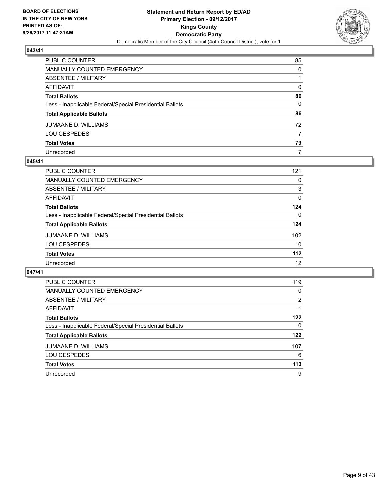

| PUBLIC COUNTER                                           | 85           |
|----------------------------------------------------------|--------------|
| MANUALLY COUNTED EMERGENCY                               | 0            |
| ABSENTEE / MILITARY                                      |              |
| AFFIDAVIT                                                | $\mathbf{0}$ |
| Total Ballots                                            | 86           |
| Less - Inapplicable Federal/Special Presidential Ballots | 0            |
| <b>Total Applicable Ballots</b>                          | 86           |
| JUMAANE D. WILLIAMS                                      | 72           |
| LOU CESPEDES                                             | 7            |
| <b>Total Votes</b>                                       | 79           |
| Unrecorded                                               | 7            |

## **045/41**

| <b>PUBLIC COUNTER</b>                                    | 121   |
|----------------------------------------------------------|-------|
| <b>MANUALLY COUNTED EMERGENCY</b>                        | 0     |
| ABSENTEE / MILITARY                                      | 3     |
| AFFIDAVIT                                                | 0     |
| <b>Total Ballots</b>                                     | 124   |
| Less - Inapplicable Federal/Special Presidential Ballots | 0     |
| <b>Total Applicable Ballots</b>                          | 124   |
| JUMAANE D. WILLIAMS                                      | 102   |
| <b>LOU CESPEDES</b>                                      | 10    |
| <b>Total Votes</b>                                       | $112$ |
| Unrecorded                                               | 12    |

| <b>PUBLIC COUNTER</b>                                    | 119 |
|----------------------------------------------------------|-----|
| <b>MANUALLY COUNTED EMERGENCY</b>                        | 0   |
| <b>ABSENTEE / MILITARY</b>                               | 2   |
| AFFIDAVIT                                                |     |
| <b>Total Ballots</b>                                     | 122 |
| Less - Inapplicable Federal/Special Presidential Ballots | 0   |
| <b>Total Applicable Ballots</b>                          | 122 |
| <b>JUMAANE D. WILLIAMS</b>                               | 107 |
| <b>LOU CESPEDES</b>                                      | 6   |
| <b>Total Votes</b>                                       | 113 |
| Unrecorded                                               | 9   |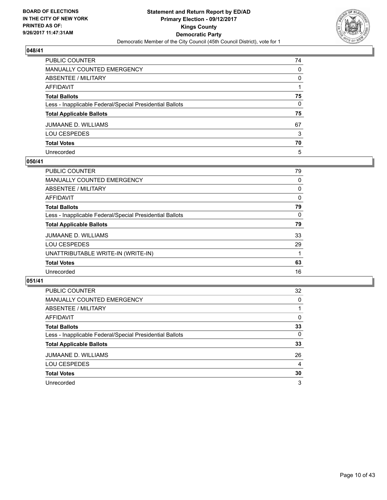

| PUBLIC COUNTER                                           | 74           |
|----------------------------------------------------------|--------------|
| MANUALLY COUNTED EMERGENCY                               | 0            |
| ABSENTEE / MILITARY                                      | 0            |
| AFFIDAVIT                                                |              |
| Total Ballots                                            | 75           |
| Less - Inapplicable Federal/Special Presidential Ballots | $\mathbf{0}$ |
| <b>Total Applicable Ballots</b>                          | 75           |
| JUMAANE D. WILLIAMS                                      | 67           |
| LOU CESPEDES                                             | 3            |
| <b>Total Votes</b>                                       | 70           |
| Unrecorded                                               | 5            |

## **050/41**

| <b>PUBLIC COUNTER</b>                                    | 79 |
|----------------------------------------------------------|----|
| <b>MANUALLY COUNTED EMERGENCY</b>                        | 0  |
| ABSENTEE / MILITARY                                      | 0  |
| AFFIDAVIT                                                | 0  |
| <b>Total Ballots</b>                                     | 79 |
| Less - Inapplicable Federal/Special Presidential Ballots | 0  |
| <b>Total Applicable Ballots</b>                          | 79 |
| JUMAANE D. WILLIAMS                                      | 33 |
| <b>LOU CESPEDES</b>                                      | 29 |
| UNATTRIBUTABLE WRITE-IN (WRITE-IN)                       |    |
| <b>Total Votes</b>                                       | 63 |
| Unrecorded                                               | 16 |

| <b>PUBLIC COUNTER</b>                                    | 32 |
|----------------------------------------------------------|----|
| MANUALLY COUNTED EMERGENCY                               | 0  |
| ABSENTEE / MILITARY                                      |    |
| <b>AFFIDAVIT</b>                                         | 0  |
| <b>Total Ballots</b>                                     | 33 |
| Less - Inapplicable Federal/Special Presidential Ballots | 0  |
| <b>Total Applicable Ballots</b>                          | 33 |
| <b>JUMAANE D. WILLIAMS</b>                               | 26 |
| <b>LOU CESPEDES</b>                                      | 4  |
| <b>Total Votes</b>                                       | 30 |
| Unrecorded                                               | 3  |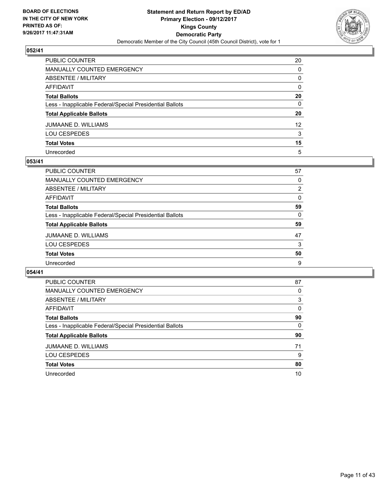

| PUBLIC COUNTER                                           | 20              |
|----------------------------------------------------------|-----------------|
| MANUALLY COUNTED EMERGENCY                               | 0               |
| ABSENTEE / MILITARY                                      | 0               |
| AFFIDAVIT                                                | $\mathbf{0}$    |
| Total Ballots                                            | 20              |
| Less - Inapplicable Federal/Special Presidential Ballots | $\mathbf{0}$    |
| <b>Total Applicable Ballots</b>                          | 20              |
| JUMAANE D. WILLIAMS                                      | 12 <sup>2</sup> |
| LOU CESPEDES                                             | 3               |
| <b>Total Votes</b>                                       | 15              |
| Unrecorded                                               | 5               |

## **053/41**

| <b>PUBLIC COUNTER</b>                                    | 57             |
|----------------------------------------------------------|----------------|
| MANUALLY COUNTED EMERGENCY                               | 0              |
| <b>ABSENTEE / MILITARY</b>                               | $\overline{2}$ |
| AFFIDAVIT                                                | $\Omega$       |
| <b>Total Ballots</b>                                     | 59             |
| Less - Inapplicable Federal/Special Presidential Ballots | 0              |
| <b>Total Applicable Ballots</b>                          | 59             |
| <b>JUMAANE D. WILLIAMS</b>                               | 47             |
| <b>LOU CESPEDES</b>                                      | 3              |
| <b>Total Votes</b>                                       | 50             |
| Unrecorded                                               | 9              |

| PUBLIC COUNTER                                           | 87 |
|----------------------------------------------------------|----|
| MANUALLY COUNTED EMERGENCY                               | 0  |
| ABSENTEE / MILITARY                                      | 3  |
| AFFIDAVIT                                                | 0  |
| <b>Total Ballots</b>                                     | 90 |
| Less - Inapplicable Federal/Special Presidential Ballots | 0  |
| <b>Total Applicable Ballots</b>                          | 90 |
| JUMAANE D. WILLIAMS                                      | 71 |
| <b>LOU CESPEDES</b>                                      | 9  |
| <b>Total Votes</b>                                       | 80 |
| Unrecorded                                               | 10 |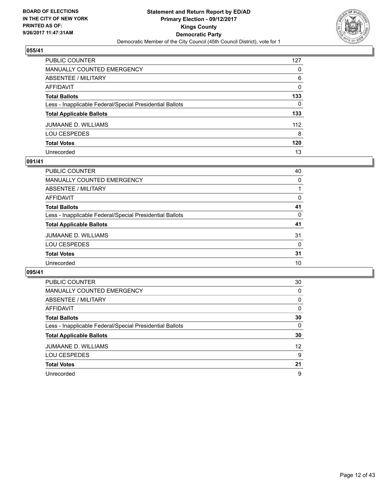

| PUBLIC COUNTER                                           | 127 |
|----------------------------------------------------------|-----|
| MANUALLY COUNTED EMERGENCY                               | 0   |
| ABSENTEE / MILITARY                                      | 6   |
| AFFIDAVIT                                                | 0   |
| Total Ballots                                            | 133 |
| Less - Inapplicable Federal/Special Presidential Ballots | 0   |
| <b>Total Applicable Ballots</b>                          | 133 |
| JUMAANE D. WILLIAMS                                      | 112 |
| LOU CESPEDES                                             | 8   |
| <b>Total Votes</b>                                       | 120 |
| Unrecorded                                               | 13  |

## **091/41**

| PUBLIC COUNTER                                           | 40 |
|----------------------------------------------------------|----|
| <b>MANUALLY COUNTED EMERGENCY</b>                        | 0  |
| ABSENTEE / MILITARY                                      |    |
| AFFIDAVIT                                                | 0  |
| <b>Total Ballots</b>                                     | 41 |
| Less - Inapplicable Federal/Special Presidential Ballots | 0  |
| <b>Total Applicable Ballots</b>                          | 41 |
| JUMAANE D. WILLIAMS                                      | 31 |
| <b>LOU CESPEDES</b>                                      | 0  |
| <b>Total Votes</b>                                       | 31 |
| Unrecorded                                               | 10 |

| <b>PUBLIC COUNTER</b>                                    | 30 |
|----------------------------------------------------------|----|
| MANUALLY COUNTED EMERGENCY                               | 0  |
| ABSENTEE / MILITARY                                      | 0  |
| AFFIDAVIT                                                | 0  |
| <b>Total Ballots</b>                                     | 30 |
| Less - Inapplicable Federal/Special Presidential Ballots | 0  |
| <b>Total Applicable Ballots</b>                          | 30 |
| <b>JUMAANE D. WILLIAMS</b>                               | 12 |
| <b>LOU CESPEDES</b>                                      | 9  |
| <b>Total Votes</b>                                       | 21 |
| Unrecorded                                               | 9  |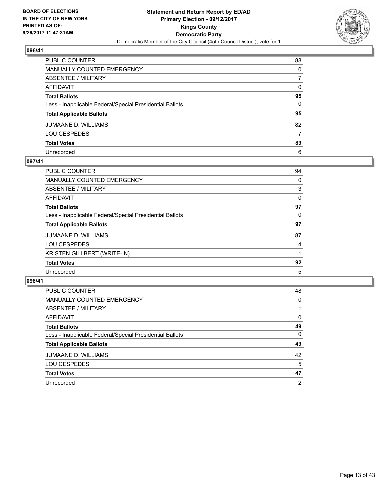

| PUBLIC COUNTER                                           | 88           |
|----------------------------------------------------------|--------------|
| MANUALLY COUNTED EMERGENCY                               | 0            |
| ABSENTEE / MILITARY                                      | 7            |
| AFFIDAVIT                                                | $\mathbf{0}$ |
| Total Ballots                                            | 95           |
| Less - Inapplicable Federal/Special Presidential Ballots | $\mathbf{0}$ |
| <b>Total Applicable Ballots</b>                          | 95           |
| JUMAANE D. WILLIAMS                                      | 82           |
| LOU CESPEDES                                             | 7            |
| <b>Total Votes</b>                                       | 89           |
| Unrecorded                                               | 6            |

## **097/41**

| PUBLIC COUNTER                                           | 94 |
|----------------------------------------------------------|----|
| <b>MANUALLY COUNTED EMERGENCY</b>                        | 0  |
| ABSENTEE / MILITARY                                      | 3  |
| AFFIDAVIT                                                | 0  |
| <b>Total Ballots</b>                                     | 97 |
| Less - Inapplicable Federal/Special Presidential Ballots | 0  |
| <b>Total Applicable Ballots</b>                          | 97 |
| <b>JUMAANE D. WILLIAMS</b>                               | 87 |
| <b>LOU CESPEDES</b>                                      | 4  |
| <b>KRISTEN GILLBERT (WRITE-IN)</b>                       |    |
| <b>Total Votes</b>                                       | 92 |
| Unrecorded                                               | 5  |

| <b>PUBLIC COUNTER</b>                                    | 48 |
|----------------------------------------------------------|----|
| MANUALLY COUNTED EMERGENCY                               | 0  |
| ABSENTEE / MILITARY                                      |    |
| <b>AFFIDAVIT</b>                                         | 0  |
| <b>Total Ballots</b>                                     | 49 |
| Less - Inapplicable Federal/Special Presidential Ballots | 0  |
| <b>Total Applicable Ballots</b>                          | 49 |
| <b>JUMAANE D. WILLIAMS</b>                               | 42 |
| <b>LOU CESPEDES</b>                                      | 5  |
| <b>Total Votes</b>                                       | 47 |
| Unrecorded                                               | 2  |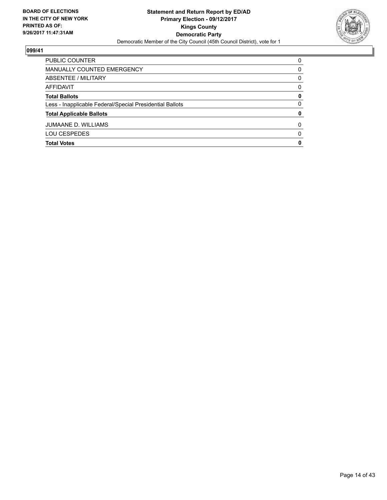

| <b>Total Votes</b>                                       | 0        |
|----------------------------------------------------------|----------|
| <b>LOU CESPEDES</b>                                      | 0        |
| <b>JUMAANE D. WILLIAMS</b>                               | 0        |
| <b>Total Applicable Ballots</b>                          | 0        |
| Less - Inapplicable Federal/Special Presidential Ballots | 0        |
| <b>Total Ballots</b>                                     | 0        |
| AFFIDAVIT                                                | 0        |
| ABSENTEE / MILITARY                                      | 0        |
| MANUALLY COUNTED EMERGENCY                               | 0        |
| PUBLIC COUNTER                                           | $\Omega$ |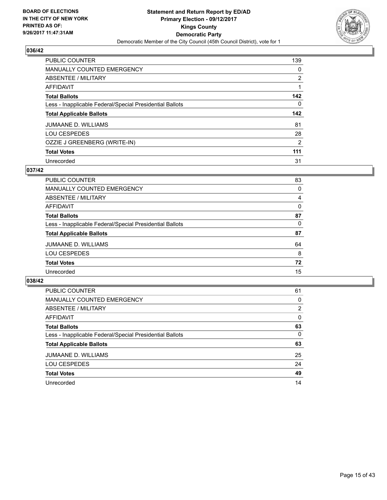

| <b>PUBLIC COUNTER</b>                                    | 139            |
|----------------------------------------------------------|----------------|
| <b>MANUALLY COUNTED EMERGENCY</b>                        | 0              |
| ABSENTEE / MILITARY                                      | $\overline{2}$ |
| AFFIDAVIT                                                |                |
| <b>Total Ballots</b>                                     | 142            |
| Less - Inapplicable Federal/Special Presidential Ballots | 0              |
| <b>Total Applicable Ballots</b>                          | 142            |
| <b>JUMAANE D. WILLIAMS</b>                               | 81             |
| <b>LOU CESPEDES</b>                                      | 28             |
|                                                          |                |
| OZZIE J GREENBERG (WRITE-IN)                             | $\overline{2}$ |
| <b>Total Votes</b>                                       | 111            |

## **037/42**

| <b>PUBLIC COUNTER</b>                                    | 83 |
|----------------------------------------------------------|----|
| MANUALLY COUNTED EMERGENCY                               | 0  |
| ABSENTEE / MILITARY                                      | 4  |
| AFFIDAVIT                                                | 0  |
| <b>Total Ballots</b>                                     | 87 |
| Less - Inapplicable Federal/Special Presidential Ballots | 0  |
| <b>Total Applicable Ballots</b>                          | 87 |
| <b>JUMAANE D. WILLIAMS</b>                               | 64 |
| <b>LOU CESPEDES</b>                                      | 8  |
| <b>Total Votes</b>                                       | 72 |
| Unrecorded                                               | 15 |

| <b>PUBLIC COUNTER</b>                                    | 61 |
|----------------------------------------------------------|----|
| MANUALLY COUNTED EMERGENCY                               | 0  |
| ABSENTEE / MILITARY                                      | 2  |
| AFFIDAVIT                                                | 0  |
| <b>Total Ballots</b>                                     | 63 |
| Less - Inapplicable Federal/Special Presidential Ballots | 0  |
| <b>Total Applicable Ballots</b>                          | 63 |
| JUMAANE D. WILLIAMS                                      | 25 |
| <b>LOU CESPEDES</b>                                      | 24 |
| <b>Total Votes</b>                                       | 49 |
| Unrecorded                                               | 14 |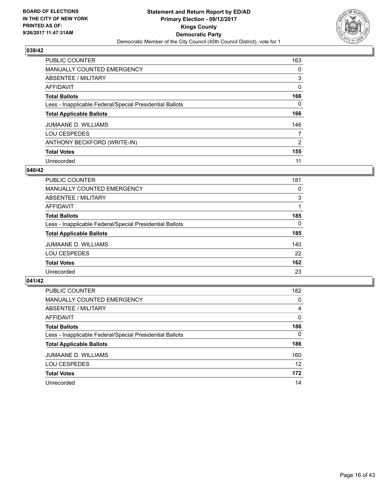

| <b>PUBLIC COUNTER</b>                                    | 163            |
|----------------------------------------------------------|----------------|
| <b>MANUALLY COUNTED EMERGENCY</b>                        | 0              |
| ABSENTEE / MILITARY                                      | 3              |
| AFFIDAVIT                                                | 0              |
| <b>Total Ballots</b>                                     | 166            |
| Less - Inapplicable Federal/Special Presidential Ballots | 0              |
| <b>Total Applicable Ballots</b>                          | 166            |
| <b>JUMAANE D. WILLIAMS</b>                               | 146            |
| <b>LOU CESPEDES</b>                                      | 7              |
| ANTHONY BECKFORD (WRITE-IN)                              | $\overline{2}$ |
| <b>Total Votes</b>                                       | 155            |
| Unrecorded                                               | 11             |

#### **040/42**

| <b>PUBLIC COUNTER</b>                                    | 181      |
|----------------------------------------------------------|----------|
| <b>MANUALLY COUNTED EMERGENCY</b>                        | 0        |
| ABSENTEE / MILITARY                                      | 3        |
| AFFIDAVIT                                                |          |
| <b>Total Ballots</b>                                     | 185      |
| Less - Inapplicable Federal/Special Presidential Ballots | $\Omega$ |
| <b>Total Applicable Ballots</b>                          | 185      |
| <b>JUMAANE D. WILLIAMS</b>                               | 140      |
| <b>LOU CESPEDES</b>                                      | 22       |
| <b>Total Votes</b>                                       | 162      |
| Unrecorded                                               | 23       |

| <b>PUBLIC COUNTER</b>                                    | 182      |
|----------------------------------------------------------|----------|
| MANUALLY COUNTED EMERGENCY                               | 0        |
| ABSENTEE / MILITARY                                      | 4        |
| AFFIDAVIT                                                | 0        |
| <b>Total Ballots</b>                                     | 186      |
| Less - Inapplicable Federal/Special Presidential Ballots | $\Omega$ |
| <b>Total Applicable Ballots</b>                          | 186      |
| <b>JUMAANE D. WILLIAMS</b>                               | 160      |
| <b>LOU CESPEDES</b>                                      | 12       |
| <b>Total Votes</b>                                       | 172      |
| Unrecorded                                               | 14       |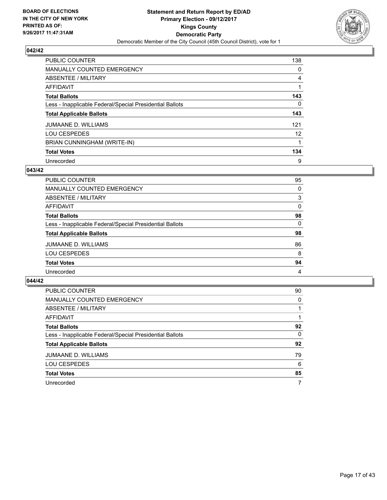

| <b>PUBLIC COUNTER</b>                                    | 138 |
|----------------------------------------------------------|-----|
| <b>MANUALLY COUNTED EMERGENCY</b>                        | 0   |
| ABSENTEE / MILITARY                                      | 4   |
| AFFIDAVIT                                                |     |
| <b>Total Ballots</b>                                     | 143 |
| Less - Inapplicable Federal/Special Presidential Ballots | 0   |
| <b>Total Applicable Ballots</b>                          | 143 |
| JUMAANE D. WILLIAMS                                      | 121 |
| <b>LOU CESPEDES</b>                                      | 12  |
| BRIAN CUNNINGHAM (WRITE-IN)                              |     |
| <b>Total Votes</b>                                       | 134 |
| Unrecorded                                               | 9   |

## **043/42**

| <b>PUBLIC COUNTER</b>                                    | 95 |
|----------------------------------------------------------|----|
| MANUALLY COUNTED EMERGENCY                               | 0  |
| ABSENTEE / MILITARY                                      | 3  |
| AFFIDAVIT                                                | 0  |
| <b>Total Ballots</b>                                     | 98 |
| Less - Inapplicable Federal/Special Presidential Ballots | 0  |
| <b>Total Applicable Ballots</b>                          | 98 |
| JUMAANE D. WILLIAMS                                      | 86 |
| <b>LOU CESPEDES</b>                                      | 8  |
| <b>Total Votes</b>                                       | 94 |
| Unrecorded                                               | 4  |

| <b>PUBLIC COUNTER</b>                                    | 90 |
|----------------------------------------------------------|----|
| MANUALLY COUNTED EMERGENCY                               | 0  |
| ABSENTEE / MILITARY                                      |    |
| AFFIDAVIT                                                |    |
| <b>Total Ballots</b>                                     | 92 |
| Less - Inapplicable Federal/Special Presidential Ballots | 0  |
| <b>Total Applicable Ballots</b>                          | 92 |
| JUMAANE D. WILLIAMS                                      | 79 |
| <b>LOU CESPEDES</b>                                      | 6  |
| <b>Total Votes</b>                                       | 85 |
| Unrecorded                                               | 7  |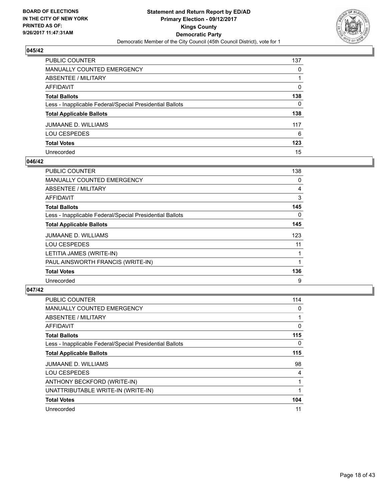

| PUBLIC COUNTER                                           | 137          |
|----------------------------------------------------------|--------------|
| MANUALLY COUNTED EMERGENCY                               | 0            |
| ABSENTEE / MILITARY                                      |              |
| AFFIDAVIT                                                | 0            |
| <b>Total Ballots</b>                                     | 138          |
| Less - Inapplicable Federal/Special Presidential Ballots | $\mathbf{0}$ |
| <b>Total Applicable Ballots</b>                          | 138          |
| JUMAANE D. WILLIAMS                                      | 117          |
| LOU CESPEDES                                             | 6            |
| <b>Total Votes</b>                                       | 123          |
| Unrecorded                                               | 15           |

#### **046/42**

| <b>PUBLIC COUNTER</b>                                    | 138 |
|----------------------------------------------------------|-----|
| <b>MANUALLY COUNTED EMERGENCY</b>                        | 0   |
| ABSENTEE / MILITARY                                      | 4   |
| AFFIDAVIT                                                | 3   |
| <b>Total Ballots</b>                                     | 145 |
| Less - Inapplicable Federal/Special Presidential Ballots | 0   |
| <b>Total Applicable Ballots</b>                          | 145 |
| <b>JUMAANE D. WILLIAMS</b>                               | 123 |
| <b>LOU CESPEDES</b>                                      | 11  |
| LETITIA JAMES (WRITE-IN)                                 |     |
| PAUL AINSWORTH FRANCIS (WRITE-IN)                        |     |
| <b>Total Votes</b>                                       | 136 |
| Unrecorded                                               | 9   |

| <b>PUBLIC COUNTER</b>                                    | 114 |
|----------------------------------------------------------|-----|
| <b>MANUALLY COUNTED EMERGENCY</b>                        | 0   |
| ABSENTEE / MILITARY                                      |     |
| <b>AFFIDAVIT</b>                                         | 0   |
| <b>Total Ballots</b>                                     | 115 |
| Less - Inapplicable Federal/Special Presidential Ballots | 0   |
| <b>Total Applicable Ballots</b>                          | 115 |
| <b>JUMAANE D. WILLIAMS</b>                               | 98  |
| <b>LOU CESPEDES</b>                                      | 4   |
| ANTHONY BECKFORD (WRITE-IN)                              |     |
| UNATTRIBUTABLE WRITE-IN (WRITE-IN)                       |     |
| <b>Total Votes</b>                                       | 104 |
| Unrecorded                                               | 11  |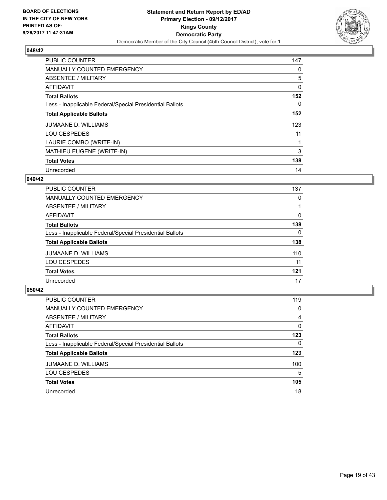

| <b>PUBLIC COUNTER</b>                                    | 147 |
|----------------------------------------------------------|-----|
| MANUALLY COUNTED EMERGENCY                               | 0   |
| ABSENTEE / MILITARY                                      | 5   |
| <b>AFFIDAVIT</b>                                         | 0   |
| <b>Total Ballots</b>                                     | 152 |
| Less - Inapplicable Federal/Special Presidential Ballots | 0   |
| <b>Total Applicable Ballots</b>                          | 152 |
| <b>JUMAANE D. WILLIAMS</b>                               | 123 |
| <b>LOU CESPEDES</b>                                      | 11  |
| LAURIE COMBO (WRITE-IN)                                  |     |
| MATHIEU EUGENE (WRITE-IN)                                | 3   |
| <b>Total Votes</b>                                       | 138 |
| Unrecorded                                               | 14  |

## **049/42**

| <b>PUBLIC COUNTER</b>                                    | 137 |
|----------------------------------------------------------|-----|
| <b>MANUALLY COUNTED EMERGENCY</b>                        | 0   |
| <b>ABSENTEE / MILITARY</b>                               |     |
| <b>AFFIDAVIT</b>                                         | 0   |
| <b>Total Ballots</b>                                     | 138 |
| Less - Inapplicable Federal/Special Presidential Ballots | 0   |
| <b>Total Applicable Ballots</b>                          | 138 |
| <b>JUMAANE D. WILLIAMS</b>                               | 110 |
| <b>LOU CESPEDES</b>                                      | 11  |
| <b>Total Votes</b>                                       | 121 |
| Unrecorded                                               | 17  |

| <b>PUBLIC COUNTER</b>                                    | 119 |
|----------------------------------------------------------|-----|
| MANUALLY COUNTED EMERGENCY                               | 0   |
| ABSENTEE / MILITARY                                      | 4   |
| AFFIDAVIT                                                | 0   |
| <b>Total Ballots</b>                                     | 123 |
| Less - Inapplicable Federal/Special Presidential Ballots | 0   |
| <b>Total Applicable Ballots</b>                          | 123 |
| JUMAANE D. WILLIAMS                                      | 100 |
| <b>LOU CESPEDES</b>                                      | 5   |
| <b>Total Votes</b>                                       | 105 |
| Unrecorded                                               | 18  |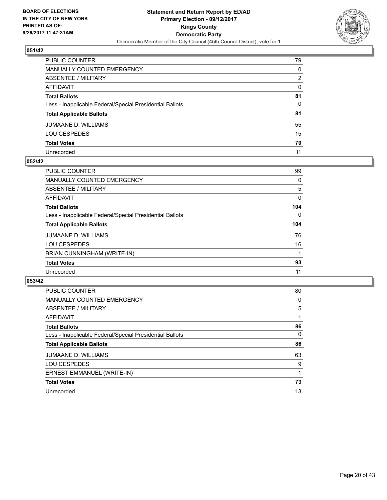

| PUBLIC COUNTER                                           | 79           |
|----------------------------------------------------------|--------------|
| MANUALLY COUNTED EMERGENCY                               | 0            |
| ABSENTEE / MILITARY                                      | 2            |
| AFFIDAVIT                                                | $\mathbf{0}$ |
| Total Ballots                                            | 81           |
| Less - Inapplicable Federal/Special Presidential Ballots | $\mathbf{0}$ |
| <b>Total Applicable Ballots</b>                          | 81           |
| JUMAANE D. WILLIAMS                                      | 55           |
| LOU CESPEDES                                             | 15           |
| <b>Total Votes</b>                                       | 70           |
| Unrecorded                                               | 11           |

#### **052/42**

| <b>PUBLIC COUNTER</b>                                    | 99  |
|----------------------------------------------------------|-----|
| <b>MANUALLY COUNTED EMERGENCY</b>                        | 0   |
| ABSENTEE / MILITARY                                      | 5   |
| AFFIDAVIT                                                | 0   |
| <b>Total Ballots</b>                                     | 104 |
| Less - Inapplicable Federal/Special Presidential Ballots | 0   |
| <b>Total Applicable Ballots</b>                          | 104 |
| JUMAANE D. WILLIAMS                                      | 76  |
| <b>LOU CESPEDES</b>                                      | 16  |
| BRIAN CUNNINGHAM (WRITE-IN)                              |     |
| <b>Total Votes</b>                                       | 93  |
| Unrecorded                                               | 11  |

| <b>PUBLIC COUNTER</b>                                    | 80       |
|----------------------------------------------------------|----------|
| MANUALLY COUNTED EMERGENCY                               | 0        |
| ABSENTEE / MILITARY                                      | 5        |
| AFFIDAVIT                                                |          |
| <b>Total Ballots</b>                                     | 86       |
| Less - Inapplicable Federal/Special Presidential Ballots | $\Omega$ |
| <b>Total Applicable Ballots</b>                          | 86       |
| <b>JUMAANE D. WILLIAMS</b>                               | 63       |
| <b>LOU CESPEDES</b>                                      | 9        |
| ERNEST EMMANUEL (WRITE-IN)                               |          |
| <b>Total Votes</b>                                       | 73       |
| Unrecorded                                               | 13       |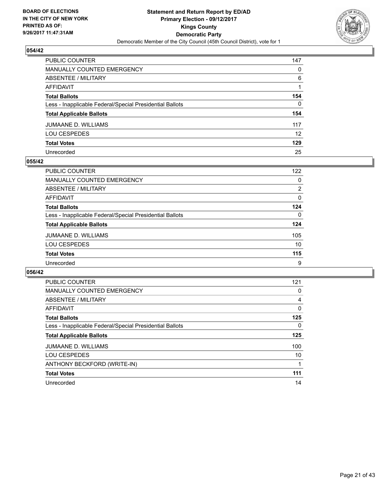

| PUBLIC COUNTER                                           | 147             |
|----------------------------------------------------------|-----------------|
| <b>MANUALLY COUNTED EMERGENCY</b>                        | $\mathbf{0}$    |
| <b>ABSENTEE / MILITARY</b>                               | 6               |
| <b>AFFIDAVIT</b>                                         |                 |
| <b>Total Ballots</b>                                     | 154             |
| Less - Inapplicable Federal/Special Presidential Ballots | $\Omega$        |
| <b>Total Applicable Ballots</b>                          | 154             |
| JUMAANE D. WILLIAMS                                      | 117             |
| <b>LOU CESPEDES</b>                                      | 12 <sup>2</sup> |
| <b>Total Votes</b>                                       | 129             |
| Unrecorded                                               | 25              |

#### **055/42**

| PUBLIC COUNTER                                           | 122      |
|----------------------------------------------------------|----------|
| <b>MANUALLY COUNTED EMERGENCY</b>                        | 0        |
| ABSENTEE / MILITARY                                      | 2        |
| AFFIDAVIT                                                | 0        |
| <b>Total Ballots</b>                                     | 124      |
| Less - Inapplicable Federal/Special Presidential Ballots | $\Omega$ |
| <b>Total Applicable Ballots</b>                          | 124      |
| JUMAANE D. WILLIAMS                                      | 105      |
| <b>LOU CESPEDES</b>                                      | 10       |
| <b>Total Votes</b>                                       | 115      |
| Unrecorded                                               | 9        |

| PUBLIC COUNTER                                           | 121 |
|----------------------------------------------------------|-----|
| <b>MANUALLY COUNTED EMERGENCY</b>                        | 0   |
| ABSENTEE / MILITARY                                      | 4   |
| AFFIDAVIT                                                | 0   |
| <b>Total Ballots</b>                                     | 125 |
| Less - Inapplicable Federal/Special Presidential Ballots | 0   |
| <b>Total Applicable Ballots</b>                          | 125 |
| <b>JUMAANE D. WILLIAMS</b>                               | 100 |
| <b>LOU CESPEDES</b>                                      | 10  |
| ANTHONY BECKFORD (WRITE-IN)                              |     |
| <b>Total Votes</b>                                       | 111 |
| Unrecorded                                               | 14  |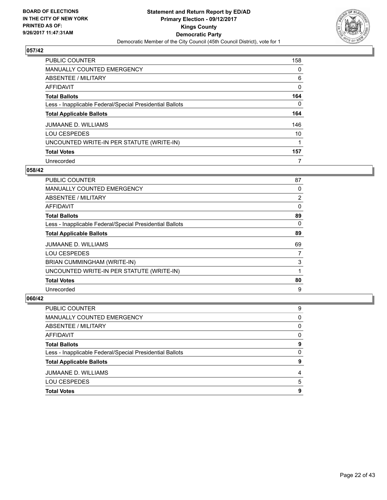

| PUBLIC COUNTER                                           | 158 |
|----------------------------------------------------------|-----|
| <b>MANUALLY COUNTED EMERGENCY</b>                        | 0   |
| ABSENTEE / MILITARY                                      | 6   |
| AFFIDAVIT                                                | 0   |
| <b>Total Ballots</b>                                     | 164 |
| Less - Inapplicable Federal/Special Presidential Ballots | 0   |
| <b>Total Applicable Ballots</b>                          | 164 |
| <b>JUMAANE D. WILLIAMS</b>                               | 146 |
| <b>LOU CESPEDES</b>                                      | 10  |
| UNCOUNTED WRITE-IN PER STATUTE (WRITE-IN)                |     |
| <b>Total Votes</b>                                       | 157 |
| Unrecorded                                               | 7   |

#### **058/42**

| <b>PUBLIC COUNTER</b>                                    | 87             |
|----------------------------------------------------------|----------------|
| <b>MANUALLY COUNTED EMERGENCY</b>                        | 0              |
| ABSENTEE / MILITARY                                      | $\overline{2}$ |
| AFFIDAVIT                                                | 0              |
| <b>Total Ballots</b>                                     | 89             |
| Less - Inapplicable Federal/Special Presidential Ballots | 0              |
| <b>Total Applicable Ballots</b>                          | 89             |
| JUMAANE D. WILLIAMS                                      | 69             |
| <b>LOU CESPEDES</b>                                      | 7              |
| BRIAN CUMMINGHAM (WRITE-IN)                              | 3              |
| UNCOUNTED WRITE-IN PER STATUTE (WRITE-IN)                | 1              |
| <b>Total Votes</b>                                       | 80             |
| Unrecorded                                               | 9              |

| PUBLIC COUNTER                                           | 9        |
|----------------------------------------------------------|----------|
| <b>MANUALLY COUNTED EMERGENCY</b>                        | 0        |
| <b>ABSENTEE / MILITARY</b>                               | $\Omega$ |
| <b>AFFIDAVIT</b>                                         | 0        |
| <b>Total Ballots</b>                                     | 9        |
| Less - Inapplicable Federal/Special Presidential Ballots | $\Omega$ |
| <b>Total Applicable Ballots</b>                          | 9        |
| <b>JUMAANE D. WILLIAMS</b>                               | 4        |
| <b>LOU CESPEDES</b>                                      | 5        |
| <b>Total Votes</b>                                       | 9        |
|                                                          |          |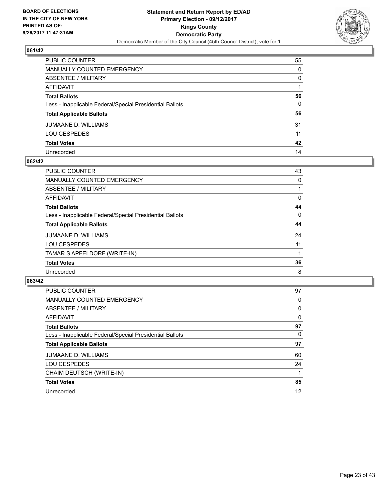

| PUBLIC COUNTER                                           | 55           |
|----------------------------------------------------------|--------------|
| MANUALLY COUNTED EMERGENCY                               | 0            |
| ABSENTEE / MILITARY                                      | 0            |
| AFFIDAVIT                                                |              |
| Total Ballots                                            | 56           |
| Less - Inapplicable Federal/Special Presidential Ballots | $\mathbf{0}$ |
| <b>Total Applicable Ballots</b>                          | 56           |
| JUMAANE D. WILLIAMS                                      | 31           |
| LOU CESPEDES                                             | 11           |
| <b>Total Votes</b>                                       | 42           |
| Unrecorded                                               | 14           |

## **062/42**

| <b>PUBLIC COUNTER</b>                                    | 43 |
|----------------------------------------------------------|----|
| <b>MANUALLY COUNTED EMERGENCY</b>                        | 0  |
| ABSENTEE / MILITARY                                      |    |
| AFFIDAVIT                                                | 0  |
| <b>Total Ballots</b>                                     | 44 |
| Less - Inapplicable Federal/Special Presidential Ballots | 0  |
| <b>Total Applicable Ballots</b>                          | 44 |
| JUMAANE D. WILLIAMS                                      | 24 |
| <b>LOU CESPEDES</b>                                      | 11 |
| TAMAR S APFELDORF (WRITE-IN)                             |    |
| <b>Total Votes</b>                                       | 36 |
| Unrecorded                                               | 8  |

| <b>PUBLIC COUNTER</b>                                    | 97 |
|----------------------------------------------------------|----|
| MANUALLY COUNTED EMERGENCY                               | 0  |
| ABSENTEE / MILITARY                                      | 0  |
| AFFIDAVIT                                                | 0  |
| <b>Total Ballots</b>                                     | 97 |
| Less - Inapplicable Federal/Special Presidential Ballots | 0  |
| <b>Total Applicable Ballots</b>                          | 97 |
| <b>JUMAANE D. WILLIAMS</b>                               | 60 |
| <b>LOU CESPEDES</b>                                      | 24 |
| CHAIM DEUTSCH (WRITE-IN)                                 |    |
| <b>Total Votes</b>                                       | 85 |
| Unrecorded                                               | 12 |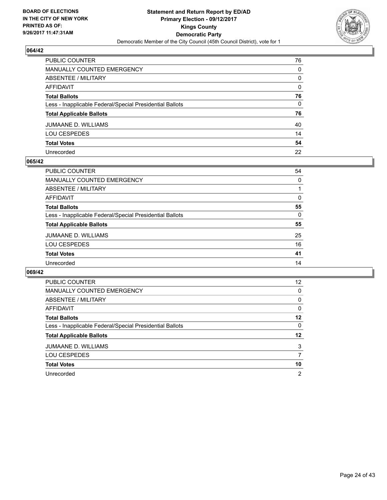

| PUBLIC COUNTER                                           | 76           |
|----------------------------------------------------------|--------------|
| MANUALLY COUNTED EMERGENCY                               | 0            |
| ABSENTEE / MILITARY                                      | 0            |
| <b>AFFIDAVIT</b>                                         | $\mathbf{0}$ |
| <b>Total Ballots</b>                                     | 76           |
| Less - Inapplicable Federal/Special Presidential Ballots | $\mathbf{0}$ |
| <b>Total Applicable Ballots</b>                          | 76           |
| JUMAANE D. WILLIAMS                                      | 40           |
| <b>LOU CESPEDES</b>                                      | 14           |
| <b>Total Votes</b>                                       | 54           |
| Unrecorded                                               | 22           |

#### **065/42**

| PUBLIC COUNTER                                           | 54       |
|----------------------------------------------------------|----------|
| MANUALLY COUNTED EMERGENCY                               | 0        |
| ABSENTEE / MILITARY                                      |          |
| AFFIDAVIT                                                | 0        |
| <b>Total Ballots</b>                                     | 55       |
| Less - Inapplicable Federal/Special Presidential Ballots | $\Omega$ |
| <b>Total Applicable Ballots</b>                          | 55       |
| <b>JUMAANE D. WILLIAMS</b>                               | 25       |
| <b>LOU CESPEDES</b>                                      | 16       |
| <b>Total Votes</b>                                       | 41       |
| Unrecorded                                               | 14       |

| <b>PUBLIC COUNTER</b>                                    | 12 |
|----------------------------------------------------------|----|
| <b>MANUALLY COUNTED EMERGENCY</b>                        | 0  |
| ABSENTEE / MILITARY                                      | 0  |
| AFFIDAVIT                                                | 0  |
| <b>Total Ballots</b>                                     | 12 |
| Less - Inapplicable Federal/Special Presidential Ballots | 0  |
| <b>Total Applicable Ballots</b>                          | 12 |
| JUMAANE D. WILLIAMS                                      | 3  |
| <b>LOU CESPEDES</b>                                      |    |
| <b>Total Votes</b>                                       | 10 |
| Unrecorded                                               | 2  |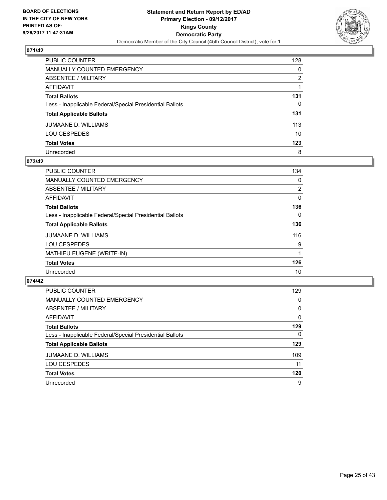

| PUBLIC COUNTER                                           | 128 |
|----------------------------------------------------------|-----|
| <b>MANUALLY COUNTED EMERGENCY</b>                        | 0   |
| <b>ABSENTEE / MILITARY</b>                               | 2   |
| <b>AFFIDAVIT</b>                                         |     |
| <b>Total Ballots</b>                                     | 131 |
| Less - Inapplicable Federal/Special Presidential Ballots | 0   |
| <b>Total Applicable Ballots</b>                          | 131 |
| JUMAANE D. WILLIAMS                                      | 113 |
| <b>LOU CESPEDES</b>                                      | 10  |
| <b>Total Votes</b>                                       | 123 |
| Unrecorded                                               | 8   |

## **073/42**

| <b>PUBLIC COUNTER</b>                                    | 134            |
|----------------------------------------------------------|----------------|
| MANUALLY COUNTED EMERGENCY                               | 0              |
| ABSENTEE / MILITARY                                      | $\overline{2}$ |
| AFFIDAVIT                                                | 0              |
| <b>Total Ballots</b>                                     | 136            |
| Less - Inapplicable Federal/Special Presidential Ballots | 0              |
| <b>Total Applicable Ballots</b>                          | 136            |
| <b>JUMAANE D. WILLIAMS</b>                               | 116            |
| <b>LOU CESPEDES</b>                                      | 9              |
| MATHIEU EUGENE (WRITE-IN)                                |                |
| <b>Total Votes</b>                                       | 126            |
| Unrecorded                                               | 10             |

| <b>PUBLIC COUNTER</b>                                    | 129 |
|----------------------------------------------------------|-----|
| MANUALLY COUNTED EMERGENCY                               | 0   |
| ABSENTEE / MILITARY                                      | 0   |
| AFFIDAVIT                                                | 0   |
| <b>Total Ballots</b>                                     | 129 |
| Less - Inapplicable Federal/Special Presidential Ballots | 0   |
| <b>Total Applicable Ballots</b>                          | 129 |
| <b>JUMAANE D. WILLIAMS</b>                               | 109 |
| <b>LOU CESPEDES</b>                                      | 11  |
| <b>Total Votes</b>                                       | 120 |
| Unrecorded                                               | 9   |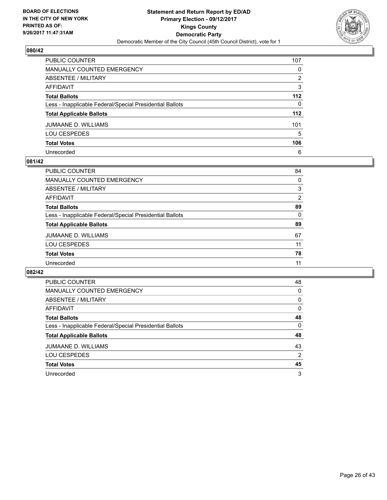

| PUBLIC COUNTER                                           | 107   |
|----------------------------------------------------------|-------|
| <b>MANUALLY COUNTED EMERGENCY</b>                        | 0     |
| <b>ABSENTEE / MILITARY</b>                               | 2     |
| <b>AFFIDAVIT</b>                                         | 3     |
| <b>Total Ballots</b>                                     | $112$ |
| Less - Inapplicable Federal/Special Presidential Ballots | 0     |
| <b>Total Applicable Ballots</b>                          | 112   |
| <b>JUMAANE D. WILLIAMS</b>                               | 101   |
| <b>LOU CESPEDES</b>                                      | 5     |
| <b>Total Votes</b>                                       | 106   |
| Unrecorded                                               | 6     |

#### **081/42**

| <b>PUBLIC COUNTER</b>                                    | 84             |
|----------------------------------------------------------|----------------|
| <b>MANUALLY COUNTED EMERGENCY</b>                        | 0              |
| ABSENTEE / MILITARY                                      | 3              |
| AFFIDAVIT                                                | $\overline{2}$ |
| <b>Total Ballots</b>                                     | 89             |
| Less - Inapplicable Federal/Special Presidential Ballots | 0              |
| <b>Total Applicable Ballots</b>                          | 89             |
| <b>JUMAANE D. WILLIAMS</b>                               | 67             |
| <b>LOU CESPEDES</b>                                      | 11             |
| <b>Total Votes</b>                                       | 78             |
| Unrecorded                                               | 11             |
|                                                          |                |

| <b>PUBLIC COUNTER</b>                                    | 48 |
|----------------------------------------------------------|----|
| <b>MANUALLY COUNTED EMERGENCY</b>                        | 0  |
| ABSENTEE / MILITARY                                      | 0  |
| AFFIDAVIT                                                | 0  |
| <b>Total Ballots</b>                                     | 48 |
| Less - Inapplicable Federal/Special Presidential Ballots | 0  |
| <b>Total Applicable Ballots</b>                          | 48 |
| <b>JUMAANE D. WILLIAMS</b>                               | 43 |
| <b>LOU CESPEDES</b>                                      | 2  |
| <b>Total Votes</b>                                       | 45 |
| Unrecorded                                               | 3  |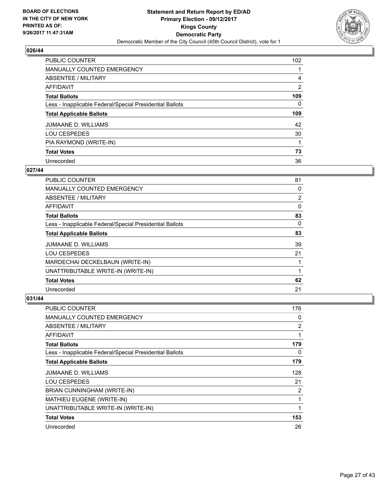

| <b>PUBLIC COUNTER</b>                                    | 102            |
|----------------------------------------------------------|----------------|
| <b>MANUALLY COUNTED EMERGENCY</b>                        |                |
| ABSENTEE / MILITARY                                      | 4              |
| AFFIDAVIT                                                | $\overline{2}$ |
| <b>Total Ballots</b>                                     | 109            |
| Less - Inapplicable Federal/Special Presidential Ballots | 0              |
| <b>Total Applicable Ballots</b>                          | 109            |
| <b>JUMAANE D. WILLIAMS</b>                               | 42             |
| <b>LOU CESPEDES</b>                                      | 30             |
| PIA RAYMOND (WRITE-IN)                                   |                |
| <b>Total Votes</b>                                       | 73             |
| Unrecorded                                               | 36             |

#### **027/44**

| <b>PUBLIC COUNTER</b>                                    | 81 |
|----------------------------------------------------------|----|
| <b>MANUALLY COUNTED EMERGENCY</b>                        | 0  |
| ABSENTEE / MILITARY                                      | 2  |
| AFFIDAVIT                                                | 0  |
| <b>Total Ballots</b>                                     | 83 |
| Less - Inapplicable Federal/Special Presidential Ballots | 0  |
| <b>Total Applicable Ballots</b>                          | 83 |
| <b>JUMAANE D. WILLIAMS</b>                               | 39 |
| <b>LOU CESPEDES</b>                                      | 21 |
| MARDECHAI DECKELBAUN (WRITE-IN)                          |    |
| UNATTRIBUTABLE WRITE-IN (WRITE-IN)                       |    |
| <b>Total Votes</b>                                       | 62 |
| Unrecorded                                               | 21 |

| PUBLIC COUNTER                                           | 176 |
|----------------------------------------------------------|-----|
| <b>MANUALLY COUNTED EMERGENCY</b>                        | 0   |
| ABSENTEE / MILITARY                                      | 2   |
| AFFIDAVIT                                                | 1   |
| <b>Total Ballots</b>                                     | 179 |
| Less - Inapplicable Federal/Special Presidential Ballots | 0   |
| <b>Total Applicable Ballots</b>                          | 179 |
| <b>JUMAANE D. WILLIAMS</b>                               | 128 |
| <b>LOU CESPEDES</b>                                      | 21  |
| BRIAN CUNNINGHAM (WRITE-IN)                              | 2   |
| MATHIEU EUGENE (WRITE-IN)                                | 1   |
| UNATTRIBUTABLE WRITE-IN (WRITE-IN)                       | 1   |
| <b>Total Votes</b>                                       | 153 |
| Unrecorded                                               | 26  |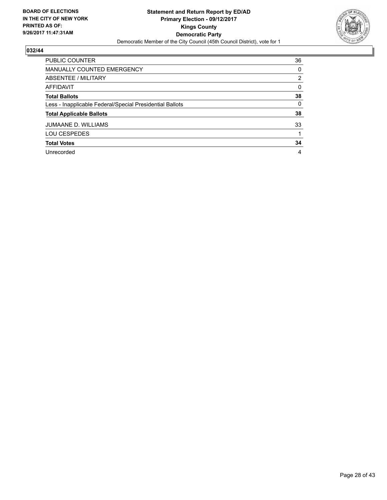

| <b>PUBLIC COUNTER</b>                                    | 36                    |
|----------------------------------------------------------|-----------------------|
| <b>MANUALLY COUNTED EMERGENCY</b>                        | 0                     |
| <b>ABSENTEE / MILITARY</b>                               | $\mathbf{2}^{\prime}$ |
| <b>AFFIDAVIT</b>                                         | 0                     |
| <b>Total Ballots</b>                                     | 38                    |
| Less - Inapplicable Federal/Special Presidential Ballots | 0                     |
| <b>Total Applicable Ballots</b>                          | 38                    |
| <b>JUMAANE D. WILLIAMS</b>                               | 33                    |
| <b>LOU CESPEDES</b>                                      |                       |
| <b>Total Votes</b>                                       | 34                    |
| Unrecorded                                               | 4                     |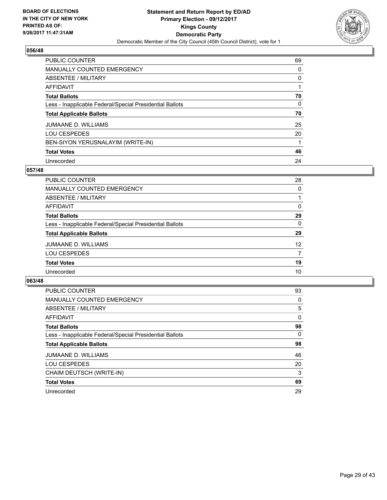

| <b>PUBLIC COUNTER</b>                                    | 69 |
|----------------------------------------------------------|----|
| <b>MANUALLY COUNTED EMERGENCY</b>                        | 0  |
| ABSENTEE / MILITARY                                      | 0  |
| AFFIDAVIT                                                |    |
| <b>Total Ballots</b>                                     | 70 |
| Less - Inapplicable Federal/Special Presidential Ballots | 0  |
| <b>Total Applicable Ballots</b>                          | 70 |
| JUMAANE D. WILLIAMS                                      | 25 |
| <b>LOU CESPEDES</b>                                      | 20 |
| BEN-SIYON YERUSNALAYIM (WRITE-IN)                        |    |
| <b>Total Votes</b>                                       | 46 |
| Unrecorded                                               | 24 |

## **057/48**

| PUBLIC COUNTER                                           | 28 |
|----------------------------------------------------------|----|
| MANUALLY COUNTED EMERGENCY                               | 0  |
| ABSENTEE / MILITARY                                      |    |
| AFFIDAVIT                                                | 0  |
| <b>Total Ballots</b>                                     | 29 |
| Less - Inapplicable Federal/Special Presidential Ballots | 0  |
| <b>Total Applicable Ballots</b>                          | 29 |
| <b>JUMAANE D. WILLIAMS</b>                               | 12 |
| <b>LOU CESPEDES</b>                                      | 7  |
| <b>Total Votes</b>                                       | 19 |
| Unrecorded                                               | 10 |

| <b>PUBLIC COUNTER</b>                                    | 93       |
|----------------------------------------------------------|----------|
| MANUALLY COUNTED EMERGENCY                               | 0        |
| ABSENTEE / MILITARY                                      | 5        |
| AFFIDAVIT                                                | $\Omega$ |
| <b>Total Ballots</b>                                     | 98       |
| Less - Inapplicable Federal/Special Presidential Ballots | $\Omega$ |
| <b>Total Applicable Ballots</b>                          | 98       |
| <b>JUMAANE D. WILLIAMS</b>                               | 46       |
| <b>LOU CESPEDES</b>                                      | 20       |
| CHAIM DEUTSCH (WRITE-IN)                                 | 3        |
| <b>Total Votes</b>                                       | 69       |
| Unrecorded                                               | 29       |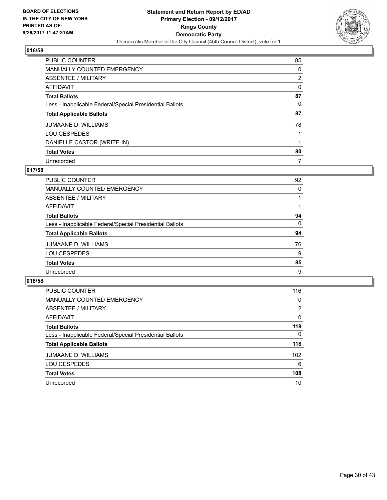

| <b>PUBLIC COUNTER</b>                                    | 85 |
|----------------------------------------------------------|----|
| <b>MANUALLY COUNTED EMERGENCY</b>                        | 0  |
| ABSENTEE / MILITARY                                      | 2  |
| AFFIDAVIT                                                | 0  |
| <b>Total Ballots</b>                                     | 87 |
| Less - Inapplicable Federal/Special Presidential Ballots | 0  |
| <b>Total Applicable Ballots</b>                          | 87 |
| <b>JUMAANE D. WILLIAMS</b>                               | 78 |
| LOU CESPEDES                                             |    |
| DANIELLE CASTOR (WRITE-IN)                               |    |
| <b>Total Votes</b>                                       | 80 |
| Unrecorded                                               | 7  |

## **017/58**

| PUBLIC COUNTER                                           | 92 |
|----------------------------------------------------------|----|
| <b>MANUALLY COUNTED EMERGENCY</b>                        | 0  |
| ABSENTEE / MILITARY                                      |    |
| AFFIDAVIT                                                |    |
| <b>Total Ballots</b>                                     | 94 |
| Less - Inapplicable Federal/Special Presidential Ballots | 0  |
| <b>Total Applicable Ballots</b>                          | 94 |
| JUMAANE D. WILLIAMS                                      | 76 |
| <b>LOU CESPEDES</b>                                      | 9  |
| <b>Total Votes</b>                                       | 85 |
| Unrecorded                                               | 9  |

| <b>PUBLIC COUNTER</b>                                    | 116      |
|----------------------------------------------------------|----------|
| MANUALLY COUNTED EMERGENCY                               | 0        |
| ABSENTEE / MILITARY                                      | 2        |
| AFFIDAVIT                                                | 0        |
| <b>Total Ballots</b>                                     | 118      |
| Less - Inapplicable Federal/Special Presidential Ballots | $\Omega$ |
| <b>Total Applicable Ballots</b>                          | 118      |
| <b>JUMAANE D. WILLIAMS</b>                               | 102      |
| <b>LOU CESPEDES</b>                                      | 6        |
| <b>Total Votes</b>                                       | 108      |
| Unrecorded                                               | 10       |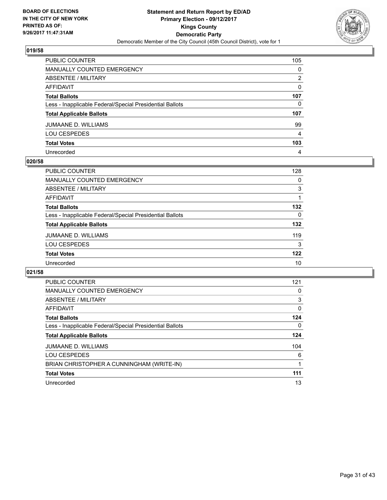

| PUBLIC COUNTER                                           | 105 |
|----------------------------------------------------------|-----|
| <b>MANUALLY COUNTED EMERGENCY</b>                        | 0   |
| <b>ABSENTEE / MILITARY</b>                               | 2   |
| <b>AFFIDAVIT</b>                                         | 0   |
| <b>Total Ballots</b>                                     | 107 |
| Less - Inapplicable Federal/Special Presidential Ballots | 0   |
| <b>Total Applicable Ballots</b>                          | 107 |
| <b>JUMAANE D. WILLIAMS</b>                               | 99  |
| <b>LOU CESPEDES</b>                                      | 4   |
| <b>Total Votes</b>                                       | 103 |
| Unrecorded                                               | 4   |

## **020/58**

| <b>PUBLIC COUNTER</b>                                    | 128 |
|----------------------------------------------------------|-----|
| <b>MANUALLY COUNTED EMERGENCY</b>                        | 0   |
| ABSENTEE / MILITARY                                      | 3   |
| <b>AFFIDAVIT</b>                                         |     |
| <b>Total Ballots</b>                                     | 132 |
| Less - Inapplicable Federal/Special Presidential Ballots | 0   |
| <b>Total Applicable Ballots</b>                          | 132 |
| <b>JUMAANE D. WILLIAMS</b>                               | 119 |
| <b>LOU CESPEDES</b>                                      | 3   |
| <b>Total Votes</b>                                       | 122 |
| Unrecorded                                               | 10  |

| PUBLIC COUNTER                                           | 121 |
|----------------------------------------------------------|-----|
| <b>MANUALLY COUNTED EMERGENCY</b>                        | 0   |
| ABSENTEE / MILITARY                                      | 3   |
| AFFIDAVIT                                                | 0   |
| <b>Total Ballots</b>                                     | 124 |
| Less - Inapplicable Federal/Special Presidential Ballots | 0   |
| <b>Total Applicable Ballots</b>                          | 124 |
| JUMAANE D. WILLIAMS                                      | 104 |
| <b>LOU CESPEDES</b>                                      | 6   |
| BRIAN CHRISTOPHER A CUNNINGHAM (WRITE-IN)                |     |
| <b>Total Votes</b>                                       | 111 |
| Unrecorded                                               | 13  |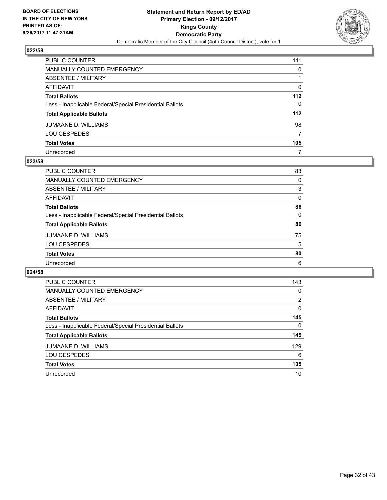

| PUBLIC COUNTER                                           | 111   |
|----------------------------------------------------------|-------|
| <b>MANUALLY COUNTED EMERGENCY</b>                        | 0     |
| <b>ABSENTEE / MILITARY</b>                               |       |
| AFFIDAVIT                                                | 0     |
| <b>Total Ballots</b>                                     | $112$ |
| Less - Inapplicable Federal/Special Presidential Ballots | 0     |
| <b>Total Applicable Ballots</b>                          | 112   |
| JUMAANE D. WILLIAMS                                      | 98    |
| <b>LOU CESPEDES</b>                                      | 7     |
| <b>Total Votes</b>                                       | 105   |
| Unrecorded                                               | 7     |

#### **023/58**

| <b>PUBLIC COUNTER</b>                                    | 83 |
|----------------------------------------------------------|----|
| <b>MANUALLY COUNTED EMERGENCY</b>                        | 0  |
| ABSENTEE / MILITARY                                      | 3  |
| AFFIDAVIT                                                | 0  |
| <b>Total Ballots</b>                                     | 86 |
| Less - Inapplicable Federal/Special Presidential Ballots | 0  |
| <b>Total Applicable Ballots</b>                          | 86 |
| <b>JUMAANE D. WILLIAMS</b>                               | 75 |
| <b>LOU CESPEDES</b>                                      | 5  |
| <b>Total Votes</b>                                       | 80 |
| Unrecorded                                               | 6  |

| <b>PUBLIC COUNTER</b>                                    | 143 |
|----------------------------------------------------------|-----|
| <b>MANUALLY COUNTED EMERGENCY</b>                        | 0   |
| ABSENTEE / MILITARY                                      | 2   |
| <b>AFFIDAVIT</b>                                         | 0   |
| <b>Total Ballots</b>                                     | 145 |
| Less - Inapplicable Federal/Special Presidential Ballots | 0   |
| <b>Total Applicable Ballots</b>                          | 145 |
| JUMAANE D. WILLIAMS                                      | 129 |
| <b>LOU CESPEDES</b>                                      | 6   |
| <b>Total Votes</b>                                       | 135 |
| Unrecorded                                               | 10  |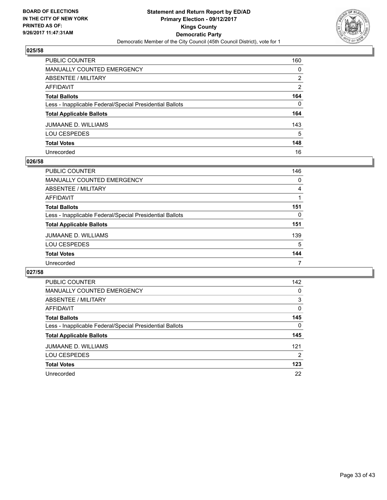

| PUBLIC COUNTER                                           | 160 |
|----------------------------------------------------------|-----|
| <b>MANUALLY COUNTED EMERGENCY</b>                        | 0   |
| <b>ABSENTEE / MILITARY</b>                               | 2   |
| AFFIDAVIT                                                | 2   |
| <b>Total Ballots</b>                                     | 164 |
| Less - Inapplicable Federal/Special Presidential Ballots | 0   |
| <b>Total Applicable Ballots</b>                          | 164 |
| JUMAANE D. WILLIAMS                                      | 143 |
| <b>LOU CESPEDES</b>                                      | 5   |
| <b>Total Votes</b>                                       | 148 |
| Unrecorded                                               | 16  |

#### **026/58**

| <b>PUBLIC COUNTER</b>                                    | 146 |
|----------------------------------------------------------|-----|
| MANUALLY COUNTED EMERGENCY                               | 0   |
| ABSENTEE / MILITARY                                      | 4   |
| AFFIDAVIT                                                |     |
| <b>Total Ballots</b>                                     | 151 |
| Less - Inapplicable Federal/Special Presidential Ballots | 0   |
| <b>Total Applicable Ballots</b>                          | 151 |
| <b>JUMAANE D. WILLIAMS</b>                               | 139 |
| <b>LOU CESPEDES</b>                                      | 5   |
| <b>Total Votes</b>                                       | 144 |
| Unrecorded                                               |     |

| <b>PUBLIC COUNTER</b>                                    | 142 |
|----------------------------------------------------------|-----|
| <b>MANUALLY COUNTED EMERGENCY</b>                        | 0   |
| ABSENTEE / MILITARY                                      | 3   |
| AFFIDAVIT                                                | 0   |
| <b>Total Ballots</b>                                     | 145 |
| Less - Inapplicable Federal/Special Presidential Ballots | 0   |
| <b>Total Applicable Ballots</b>                          | 145 |
| <b>JUMAANE D. WILLIAMS</b>                               | 121 |
| <b>LOU CESPEDES</b>                                      | 2   |
| <b>Total Votes</b>                                       | 123 |
| Unrecorded                                               | 22  |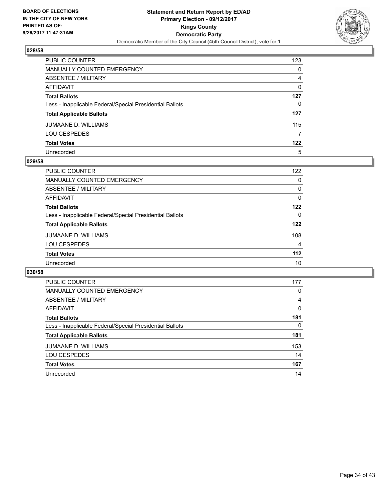

| PUBLIC COUNTER                                           | 123 |
|----------------------------------------------------------|-----|
| <b>MANUALLY COUNTED EMERGENCY</b>                        | 0   |
| <b>ABSENTEE / MILITARY</b>                               | 4   |
| <b>AFFIDAVIT</b>                                         | 0   |
| <b>Total Ballots</b>                                     | 127 |
| Less - Inapplicable Federal/Special Presidential Ballots | 0   |
| <b>Total Applicable Ballots</b>                          | 127 |
| JUMAANE D. WILLIAMS                                      | 115 |
| <b>LOU CESPEDES</b>                                      | 7   |
| <b>Total Votes</b>                                       | 122 |
| Unrecorded                                               | 5   |

#### **029/58**

| PUBLIC COUNTER                                           | 122   |
|----------------------------------------------------------|-------|
| <b>MANUALLY COUNTED EMERGENCY</b>                        | 0     |
| ABSENTEE / MILITARY                                      | 0     |
| AFFIDAVIT                                                | 0     |
| <b>Total Ballots</b>                                     | 122   |
| Less - Inapplicable Federal/Special Presidential Ballots | 0     |
| <b>Total Applicable Ballots</b>                          | 122   |
| JUMAANE D. WILLIAMS                                      | 108   |
| <b>LOU CESPEDES</b>                                      | 4     |
| <b>Total Votes</b>                                       | $112$ |
| Unrecorded                                               | 10    |

| <b>PUBLIC COUNTER</b>                                    | 177 |
|----------------------------------------------------------|-----|
| <b>MANUALLY COUNTED EMERGENCY</b>                        | 0   |
| <b>ABSENTEE / MILITARY</b>                               | 4   |
| <b>AFFIDAVIT</b>                                         | 0   |
| <b>Total Ballots</b>                                     | 181 |
| Less - Inapplicable Federal/Special Presidential Ballots | 0   |
| <b>Total Applicable Ballots</b>                          | 181 |
| <b>JUMAANE D. WILLIAMS</b>                               | 153 |
| <b>LOU CESPEDES</b>                                      | 14  |
| <b>Total Votes</b>                                       | 167 |
| Unrecorded                                               | 14  |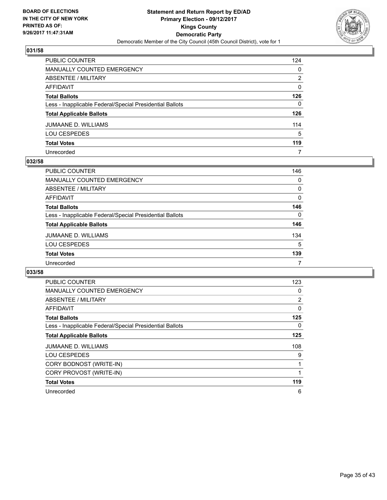

| PUBLIC COUNTER                                           | 124 |
|----------------------------------------------------------|-----|
| <b>MANUALLY COUNTED EMERGENCY</b>                        | 0   |
| ABSENTEE / MILITARY                                      | 2   |
| AFFIDAVIT                                                | 0   |
| <b>Total Ballots</b>                                     | 126 |
| Less - Inapplicable Federal/Special Presidential Ballots | 0   |
| <b>Total Applicable Ballots</b>                          | 126 |
| JUMAANE D. WILLIAMS                                      | 114 |
| <b>LOU CESPEDES</b>                                      | 5   |
| <b>Total Votes</b>                                       | 119 |
| Unrecorded                                               | 7   |

## **032/58**

| <b>PUBLIC COUNTER</b>                                    | 146      |
|----------------------------------------------------------|----------|
| MANUALLY COUNTED EMERGENCY                               | 0        |
| ABSENTEE / MILITARY                                      | 0        |
| AFFIDAVIT                                                | $\Omega$ |
| <b>Total Ballots</b>                                     | 146      |
| Less - Inapplicable Federal/Special Presidential Ballots | $\Omega$ |
| <b>Total Applicable Ballots</b>                          | 146      |
| JUMAANE D. WILLIAMS                                      | 134      |
| <b>LOU CESPEDES</b>                                      | 5        |
| <b>Total Votes</b>                                       | 139      |
| Unrecorded                                               |          |

| <b>PUBLIC COUNTER</b>                                    | 123          |
|----------------------------------------------------------|--------------|
| <b>MANUALLY COUNTED EMERGENCY</b>                        | 0            |
| ABSENTEE / MILITARY                                      | 2            |
| AFFIDAVIT                                                | 0            |
| <b>Total Ballots</b>                                     | 125          |
| Less - Inapplicable Federal/Special Presidential Ballots | 0            |
| <b>Total Applicable Ballots</b>                          | 125          |
| <b>JUMAANE D. WILLIAMS</b>                               | 108          |
| <b>LOU CESPEDES</b>                                      | 9            |
| CORY BODNOST (WRITE-IN)                                  | $\mathbf{1}$ |
| CORY PROVOST (WRITE-IN)                                  | 1            |
| <b>Total Votes</b>                                       | 119          |
| Unrecorded                                               | 6            |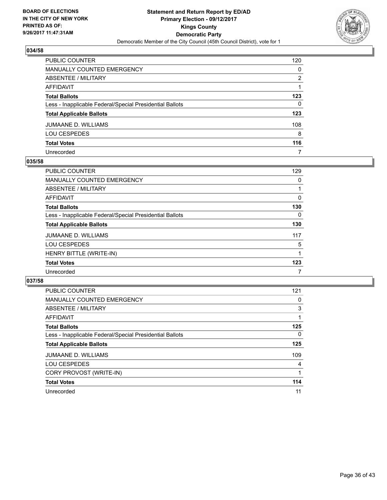

| PUBLIC COUNTER                                           | 120 |
|----------------------------------------------------------|-----|
| <b>MANUALLY COUNTED EMERGENCY</b>                        | 0   |
| <b>ABSENTEE / MILITARY</b>                               | 2   |
| AFFIDAVIT                                                |     |
| <b>Total Ballots</b>                                     | 123 |
| Less - Inapplicable Federal/Special Presidential Ballots | 0   |
| <b>Total Applicable Ballots</b>                          | 123 |
| JUMAANE D. WILLIAMS                                      | 108 |
| <b>LOU CESPEDES</b>                                      | 8   |
| <b>Total Votes</b>                                       | 116 |
| Unrecorded                                               | 7   |

#### **035/58**

| <b>PUBLIC COUNTER</b>                                    | 129 |
|----------------------------------------------------------|-----|
| <b>MANUALLY COUNTED EMERGENCY</b>                        | 0   |
| ABSENTEE / MILITARY                                      |     |
| AFFIDAVIT                                                | 0   |
| <b>Total Ballots</b>                                     | 130 |
| Less - Inapplicable Federal/Special Presidential Ballots | 0   |
| <b>Total Applicable Ballots</b>                          | 130 |
| <b>JUMAANE D. WILLIAMS</b>                               | 117 |
| <b>LOU CESPEDES</b>                                      | 5   |
| HENRY BITTLE (WRITE-IN)                                  |     |
| <b>Total Votes</b>                                       | 123 |
| Unrecorded                                               | 7   |

| <b>PUBLIC COUNTER</b>                                    | 121      |
|----------------------------------------------------------|----------|
| <b>MANUALLY COUNTED EMERGENCY</b>                        | 0        |
| ABSENTEE / MILITARY                                      | 3        |
| AFFIDAVIT                                                |          |
| <b>Total Ballots</b>                                     | 125      |
| Less - Inapplicable Federal/Special Presidential Ballots | $\Omega$ |
| <b>Total Applicable Ballots</b>                          | 125      |
| JUMAANE D. WILLIAMS                                      | 109      |
| <b>LOU CESPEDES</b>                                      | 4        |
| CORY PROVOST (WRITE-IN)                                  |          |
| <b>Total Votes</b>                                       | 114      |
| Unrecorded                                               | 11       |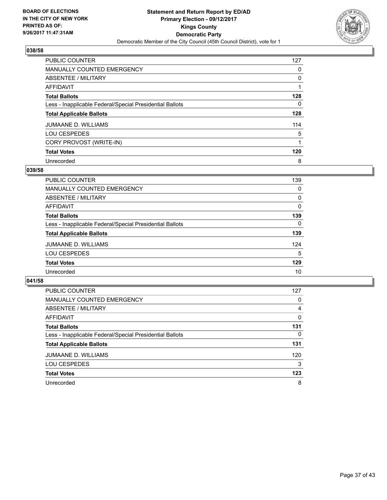

| <b>PUBLIC COUNTER</b>                                    | 127 |
|----------------------------------------------------------|-----|
| <b>MANUALLY COUNTED EMERGENCY</b>                        | 0   |
| ABSENTEE / MILITARY                                      | 0   |
| AFFIDAVIT                                                |     |
| <b>Total Ballots</b>                                     | 128 |
| Less - Inapplicable Federal/Special Presidential Ballots | 0   |
| <b>Total Applicable Ballots</b>                          | 128 |
| <b>JUMAANE D. WILLIAMS</b>                               | 114 |
| <b>LOU CESPEDES</b>                                      | 5   |
| CORY PROVOST (WRITE-IN)                                  |     |
| <b>Total Votes</b>                                       | 120 |
| Unrecorded                                               | 8   |

#### **039/58**

| PUBLIC COUNTER                                           | 139      |
|----------------------------------------------------------|----------|
| <b>MANUALLY COUNTED EMERGENCY</b>                        | 0        |
| ABSENTEE / MILITARY                                      | 0        |
| <b>AFFIDAVIT</b>                                         | $\Omega$ |
| <b>Total Ballots</b>                                     | 139      |
| Less - Inapplicable Federal/Special Presidential Ballots | 0        |
| <b>Total Applicable Ballots</b>                          | 139      |
| <b>JUMAANE D. WILLIAMS</b>                               | 124      |
| <b>LOU CESPEDES</b>                                      | 5        |
| <b>Total Votes</b>                                       | 129      |
| Unrecorded                                               | 10       |

| <b>PUBLIC COUNTER</b>                                    | 127 |
|----------------------------------------------------------|-----|
| MANUALLY COUNTED EMERGENCY                               | 0   |
| ABSENTEE / MILITARY                                      | 4   |
| AFFIDAVIT                                                | 0   |
| <b>Total Ballots</b>                                     | 131 |
| Less - Inapplicable Federal/Special Presidential Ballots | 0   |
| <b>Total Applicable Ballots</b>                          | 131 |
| JUMAANE D. WILLIAMS                                      | 120 |
| <b>LOU CESPEDES</b>                                      | 3   |
| <b>Total Votes</b>                                       | 123 |
| Unrecorded                                               | 8   |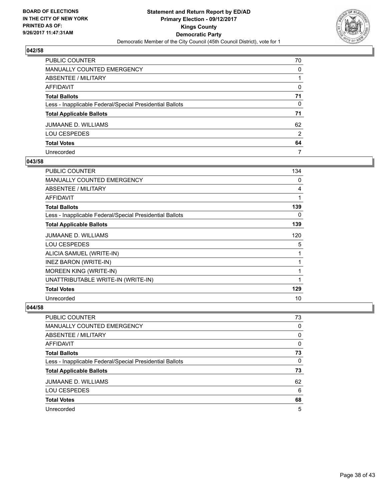

| PUBLIC COUNTER                                           | 70 |
|----------------------------------------------------------|----|
| <b>MANUALLY COUNTED EMERGENCY</b>                        | 0  |
| <b>ABSENTEE / MILITARY</b>                               |    |
| AFFIDAVIT                                                | 0  |
| <b>Total Ballots</b>                                     | 71 |
| Less - Inapplicable Federal/Special Presidential Ballots | 0  |
| <b>Total Applicable Ballots</b>                          | 71 |
| JUMAANE D. WILLIAMS                                      | 62 |
| <b>LOU CESPEDES</b>                                      | 2  |
| <b>Total Votes</b>                                       | 64 |
| Unrecorded                                               | 7  |

## **043/58**

| <b>PUBLIC COUNTER</b>                                    | 134 |
|----------------------------------------------------------|-----|
| <b>MANUALLY COUNTED EMERGENCY</b>                        | 0   |
| ABSENTEE / MILITARY                                      | 4   |
| <b>AFFIDAVIT</b>                                         | 1   |
| <b>Total Ballots</b>                                     | 139 |
| Less - Inapplicable Federal/Special Presidential Ballots | 0   |
| <b>Total Applicable Ballots</b>                          | 139 |
| JUMAANE D. WILLIAMS                                      | 120 |
| <b>LOU CESPEDES</b>                                      | 5   |
| ALICIA SAMUEL (WRITE-IN)                                 | 1   |
| INEZ BARON (WRITE-IN)                                    | 1   |
| MOREEN KING (WRITE-IN)                                   |     |
| UNATTRIBUTABLE WRITE-IN (WRITE-IN)                       | 1   |
| <b>Total Votes</b>                                       | 129 |
| Unrecorded                                               | 10  |

| PUBLIC COUNTER                                           | 73 |
|----------------------------------------------------------|----|
| <b>MANUALLY COUNTED EMERGENCY</b>                        | 0  |
| ABSENTEE / MILITARY                                      | 0  |
| AFFIDAVIT                                                | 0  |
| <b>Total Ballots</b>                                     | 73 |
| Less - Inapplicable Federal/Special Presidential Ballots | 0  |
| <b>Total Applicable Ballots</b>                          | 73 |
| JUMAANE D. WILLIAMS                                      | 62 |
| <b>LOU CESPEDES</b>                                      | 6  |
| <b>Total Votes</b>                                       | 68 |
| Unrecorded                                               | 5  |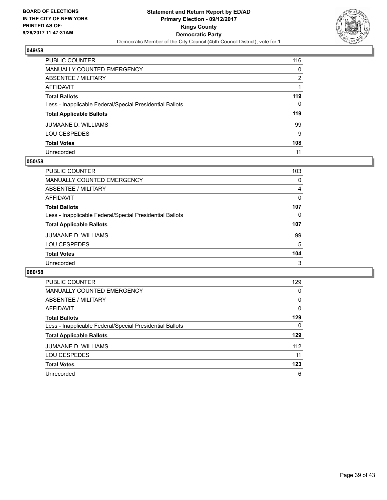

| PUBLIC COUNTER                                           | 116 |
|----------------------------------------------------------|-----|
| <b>MANUALLY COUNTED EMERGENCY</b>                        | 0   |
| <b>ABSENTEE / MILITARY</b>                               | 2   |
| <b>AFFIDAVIT</b>                                         |     |
| <b>Total Ballots</b>                                     | 119 |
| Less - Inapplicable Federal/Special Presidential Ballots | 0   |
| <b>Total Applicable Ballots</b>                          | 119 |
| <b>JUMAANE D. WILLIAMS</b>                               | 99  |
| <b>LOU CESPEDES</b>                                      | 9   |
| <b>Total Votes</b>                                       | 108 |
| Unrecorded                                               | 11  |

#### **050/58**

| <b>PUBLIC COUNTER</b>                                    | 103 |
|----------------------------------------------------------|-----|
| MANUALLY COUNTED EMERGENCY                               | 0   |
| ABSENTEE / MILITARY                                      | 4   |
| AFFIDAVIT                                                | 0   |
| <b>Total Ballots</b>                                     | 107 |
| Less - Inapplicable Federal/Special Presidential Ballots | 0   |
| <b>Total Applicable Ballots</b>                          | 107 |
| <b>JUMAANE D. WILLIAMS</b>                               | 99  |
| <b>LOU CESPEDES</b>                                      | 5   |
| <b>Total Votes</b>                                       | 104 |
| Unrecorded                                               | 3   |

| <b>PUBLIC COUNTER</b>                                    | 129 |
|----------------------------------------------------------|-----|
| <b>MANUALLY COUNTED EMERGENCY</b>                        | 0   |
| ABSENTEE / MILITARY                                      | 0   |
| <b>AFFIDAVIT</b>                                         | 0   |
| <b>Total Ballots</b>                                     | 129 |
| Less - Inapplicable Federal/Special Presidential Ballots | 0   |
| <b>Total Applicable Ballots</b>                          | 129 |
| <b>JUMAANE D. WILLIAMS</b>                               | 112 |
| <b>LOU CESPEDES</b>                                      | 11  |
| <b>Total Votes</b>                                       | 123 |
| Unrecorded                                               | 6   |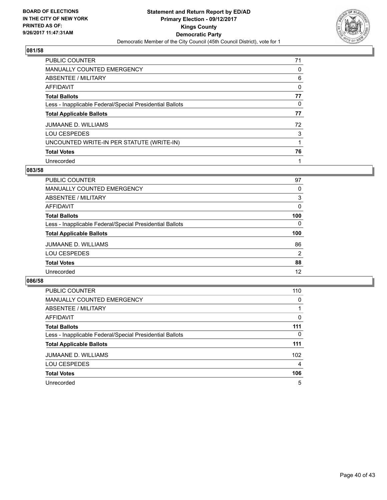

| <b>PUBLIC COUNTER</b>                                    | 71 |
|----------------------------------------------------------|----|
| <b>MANUALLY COUNTED EMERGENCY</b>                        | 0  |
| ABSENTEE / MILITARY                                      | 6  |
| AFFIDAVIT                                                | 0  |
| <b>Total Ballots</b>                                     | 77 |
| Less - Inapplicable Federal/Special Presidential Ballots | 0  |
| <b>Total Applicable Ballots</b>                          | 77 |
| <b>JUMAANE D. WILLIAMS</b>                               | 72 |
| <b>LOU CESPEDES</b>                                      | 3  |
| UNCOUNTED WRITE-IN PER STATUTE (WRITE-IN)                |    |
| <b>Total Votes</b>                                       | 76 |
| Unrecorded                                               |    |

#### **083/58**

| <b>PUBLIC COUNTER</b>                                    | 97       |
|----------------------------------------------------------|----------|
| <b>MANUALLY COUNTED EMERGENCY</b>                        | 0        |
| ABSENTEE / MILITARY                                      | 3        |
| AFFIDAVIT                                                | 0        |
| <b>Total Ballots</b>                                     | 100      |
| Less - Inapplicable Federal/Special Presidential Ballots | $\Omega$ |
| <b>Total Applicable Ballots</b>                          | 100      |
| JUMAANE D. WILLIAMS                                      | 86       |
| <b>LOU CESPEDES</b>                                      | 2        |
| <b>Total Votes</b>                                       | 88       |
| Unrecorded                                               | 12       |

| <b>PUBLIC COUNTER</b>                                    | 110 |
|----------------------------------------------------------|-----|
| MANUALLY COUNTED EMERGENCY                               | 0   |
| ABSENTEE / MILITARY                                      |     |
| AFFIDAVIT                                                | 0   |
| <b>Total Ballots</b>                                     | 111 |
| Less - Inapplicable Federal/Special Presidential Ballots | 0   |
| <b>Total Applicable Ballots</b>                          | 111 |
| <b>JUMAANE D. WILLIAMS</b>                               | 102 |
| <b>LOU CESPEDES</b>                                      | 4   |
| <b>Total Votes</b>                                       | 106 |
| Unrecorded                                               | 5   |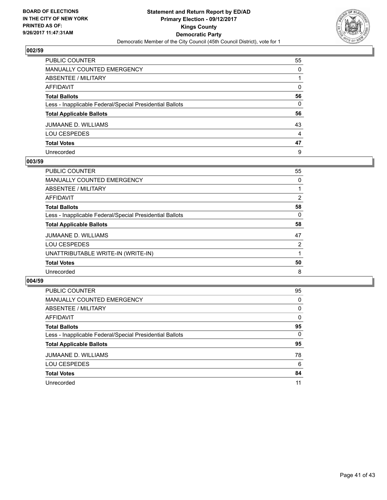

| PUBLIC COUNTER                                           | 55           |
|----------------------------------------------------------|--------------|
| MANUALLY COUNTED EMERGENCY                               | 0            |
| ABSENTEE / MILITARY                                      |              |
| AFFIDAVIT                                                | $\mathbf{0}$ |
| Total Ballots                                            | 56           |
| Less - Inapplicable Federal/Special Presidential Ballots | $\mathbf{0}$ |
| <b>Total Applicable Ballots</b>                          | 56           |
| JUMAANE D. WILLIAMS                                      | 43           |
| LOU CESPEDES                                             | 4            |
| <b>Total Votes</b>                                       | 47           |
| Unrecorded                                               | 9            |

## **003/59**

| PUBLIC COUNTER                                           | 55 |
|----------------------------------------------------------|----|
| <b>MANUALLY COUNTED EMERGENCY</b>                        | 0  |
| ABSENTEE / MILITARY                                      |    |
| AFFIDAVIT                                                | 2  |
| <b>Total Ballots</b>                                     | 58 |
| Less - Inapplicable Federal/Special Presidential Ballots | 0  |
| <b>Total Applicable Ballots</b>                          | 58 |
| <b>JUMAANE D. WILLIAMS</b>                               | 47 |
| <b>LOU CESPEDES</b>                                      | 2  |
| UNATTRIBUTABLE WRITE-IN (WRITE-IN)                       |    |
| <b>Total Votes</b>                                       | 50 |
| Unrecorded                                               | 8  |

| <b>PUBLIC COUNTER</b>                                    | 95 |
|----------------------------------------------------------|----|
| <b>MANUALLY COUNTED EMERGENCY</b>                        | 0  |
| ABSENTEE / MILITARY                                      | 0  |
| AFFIDAVIT                                                | 0  |
| <b>Total Ballots</b>                                     | 95 |
| Less - Inapplicable Federal/Special Presidential Ballots | 0  |
| <b>Total Applicable Ballots</b>                          | 95 |
| <b>JUMAANE D. WILLIAMS</b>                               | 78 |
| <b>LOU CESPEDES</b>                                      | 6  |
| <b>Total Votes</b>                                       | 84 |
| Unrecorded                                               | 11 |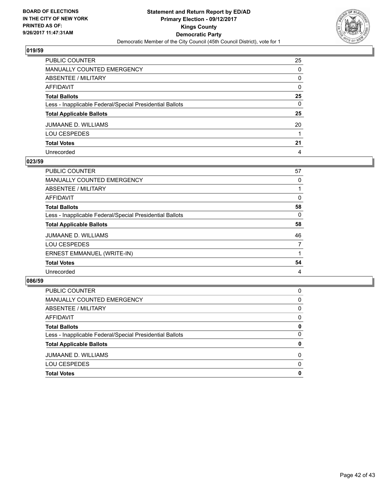

| PUBLIC COUNTER                                           | 25 |
|----------------------------------------------------------|----|
| MANUALLY COUNTED EMERGENCY                               | 0  |
| ABSENTEE / MILITARY                                      | 0  |
| AFFIDAVIT                                                | 0  |
| Total Ballots                                            | 25 |
| Less - Inapplicable Federal/Special Presidential Ballots | 0  |
| <b>Total Applicable Ballots</b>                          | 25 |
| JUMAANE D. WILLIAMS                                      | 20 |
| LOU CESPEDES                                             |    |
| <b>Total Votes</b>                                       | 21 |
| Unrecorded                                               | 4  |

## **023/59**

| <b>PUBLIC COUNTER</b>                                    | 57 |
|----------------------------------------------------------|----|
| <b>MANUALLY COUNTED EMERGENCY</b>                        | 0  |
| ABSENTEE / MILITARY                                      |    |
| AFFIDAVIT                                                | 0  |
| <b>Total Ballots</b>                                     | 58 |
| Less - Inapplicable Federal/Special Presidential Ballots | 0  |
| <b>Total Applicable Ballots</b>                          | 58 |
| JUMAANE D. WILLIAMS                                      | 46 |
| <b>LOU CESPEDES</b>                                      | 7  |
| ERNEST EMMANUEL (WRITE-IN)                               |    |
| <b>Total Votes</b>                                       | 54 |
| Unrecorded                                               | 4  |

| <b>PUBLIC COUNTER</b>                                    | 0 |
|----------------------------------------------------------|---|
| MANUALLY COUNTED EMERGENCY                               | 0 |
| ABSENTEE / MILITARY                                      | 0 |
| AFFIDAVIT                                                | 0 |
| <b>Total Ballots</b>                                     | 0 |
| Less - Inapplicable Federal/Special Presidential Ballots | 0 |
| <b>Total Applicable Ballots</b>                          | 0 |
| JUMAANE D. WILLIAMS                                      | 0 |
| <b>LOU CESPEDES</b>                                      | 0 |
| <b>Total Votes</b>                                       | 0 |